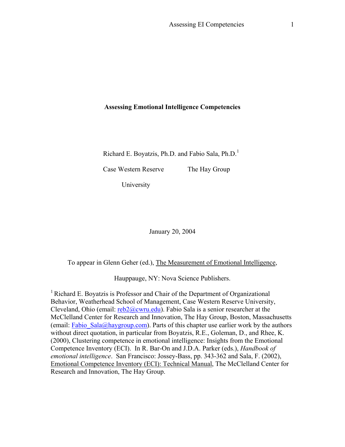#### **Assessing Emotional Intelligence Competencies**

Richard E. Boyatzis, Ph.D. and Fabio Sala, Ph.D.<sup>1</sup>

Case Western Reserve The Hay Group

University

January 20, 2004

To appear in Glenn Geher (ed.), The Measurement of Emotional Intelligence,

Hauppauge, NY: Nova Science Publishers.

<sup>1</sup> Richard E. Boyatzis is Professor and Chair of the Department of Organizational Behavior, Weatherhead School of Management, Case Western Reserve University, Cleveland, Ohio (email:  $\text{reb2@cwru.edu}$ ). Fabio Sala is a senior researcher at the McClelland Center for Research and Innovation, The Hay Group, Boston, Massachusetts (email:  $Fabio$  Sala@haygroup.com). Parts of this chapter use earlier work by the authors without direct quotation, in particular from Boyatzis, R.E., Goleman, D., and Rhee, K. (2000), Clustering competence in emotional intelligence: Insights from the Emotional Competence Inventory (ECI). In R. Bar-On and J.D.A. Parker (eds.), *Handbook of emotional intelligence*. San Francisco: Jossey-Bass, pp. 343-362 and Sala, F. (2002), Emotional Competence Inventory (ECI): Technical Manual, The McClelland Center for Research and Innovation, The Hay Group.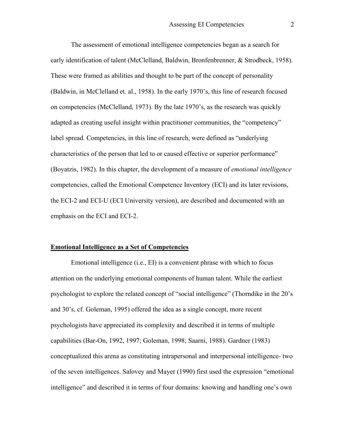The assessment of emotional intelligence competencies began as a search for early identification of talent (McClelland, Baldwin, Bronfenbrenner, & Strodbeck, 1958). These were framed as abilities and thought to be part of the concept of personality (Baldwin, in McClelland et. al., 1958). In the early 1970's, this line of research focused on competencies (McClelland, 1973). By the late 1970's, as the research was quickly adapted as creating useful insight within practitioner communities, the "competency" label spread. Competencies, in this line of research, were defined as "underlying characteristics of the person that led to or caused effective or superior performance" (Boyatzis, 1982). In this chapter, the development of a measure of *emotional intelligence*  competencies, called the Emotional Competence Inventory (ECI) and its later revisions, the ECI-2 and ECI-U (ECI University version), are described and documented with an emphasis on the ECI and ECI-2.

#### **Emotional Intelligence as a Set of Competencies**

Emotional intelligence (i.e., EI) is a convenient phrase with which to focus attention on the underlying emotional components of human talent. While the earliest psychologist to explore the related concept of "social intelligence" (Thorndike in the 20's and 30's, cf. Goleman, 1995) offered the idea as a single concept, more recent psychologists have appreciated its complexity and described it in terms of multiple capabilities (Bar-On, 1992, 1997; Goleman, 1998; Saarni, 1988). Gardner (1983) conceptualized this arena as constituting intrapersonal and interpersonal intelligence- two of the seven intelligences. Salovey and Mayer (1990) first used the expression "emotional intelligence" and described it in terms of four domains: knowing and handling one's own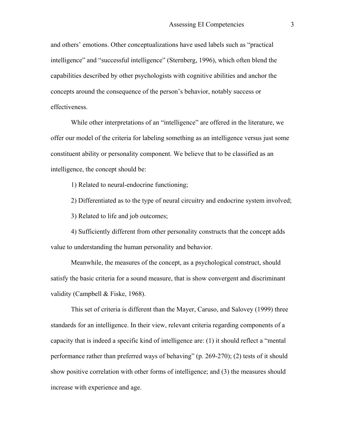and others' emotions. Other conceptualizations have used labels such as "practical intelligence" and "successful intelligence" (Sternberg, 1996), which often blend the capabilities described by other psychologists with cognitive abilities and anchor the concepts around the consequence of the person's behavior, notably success or effectiveness.

While other interpretations of an "intelligence" are offered in the literature, we offer our model of the criteria for labeling something as an intelligence versus just some constituent ability or personality component. We believe that to be classified as an intelligence, the concept should be:

1) Related to neural-endocrine functioning;

2) Differentiated as to the type of neural circuitry and endocrine system involved;

3) Related to life and job outcomes;

4) Sufficiently different from other personality constructs that the concept adds value to understanding the human personality and behavior.

Meanwhile, the measures of the concept, as a psychological construct, should satisfy the basic criteria for a sound measure, that is show convergent and discriminant validity (Campbell & Fiske, 1968).

This set of criteria is different than the Mayer, Caruso, and Salovey (1999) three standards for an intelligence. In their view, relevant criteria regarding components of a capacity that is indeed a specific kind of intelligence are: (1) it should reflect a "mental performance rather than preferred ways of behaving" (p. 269-270); (2) tests of it should show positive correlation with other forms of intelligence; and (3) the measures should increase with experience and age.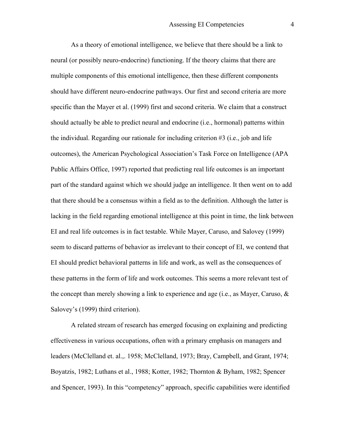As a theory of emotional intelligence, we believe that there should be a link to neural (or possibly neuro-endocrine) functioning. If the theory claims that there are multiple components of this emotional intelligence, then these different components should have different neuro-endocrine pathways. Our first and second criteria are more specific than the Mayer et al. (1999) first and second criteria. We claim that a construct should actually be able to predict neural and endocrine (i.e., hormonal) patterns within the individual. Regarding our rationale for including criterion #3 (i.e., job and life outcomes), the American Psychological Association's Task Force on Intelligence (APA Public Affairs Office, 1997) reported that predicting real life outcomes is an important part of the standard against which we should judge an intelligence. It then went on to add that there should be a consensus within a field as to the definition. Although the latter is lacking in the field regarding emotional intelligence at this point in time, the link between EI and real life outcomes is in fact testable. While Mayer, Caruso, and Salovey (1999) seem to discard patterns of behavior as irrelevant to their concept of EI, we contend that EI should predict behavioral patterns in life and work, as well as the consequences of these patterns in the form of life and work outcomes. This seems a more relevant test of the concept than merely showing a link to experience and age (i.e., as Mayer, Caruso, & Salovey's (1999) third criterion).

 A related stream of research has emerged focusing on explaining and predicting effectiveness in various occupations, often with a primary emphasis on managers and leaders (McClelland et. al.,. 1958; McClelland, 1973; Bray, Campbell, and Grant, 1974; Boyatzis, 1982; Luthans et al., 1988; Kotter, 1982; Thornton & Byham, 1982; Spencer and Spencer, 1993). In this "competency" approach, specific capabilities were identified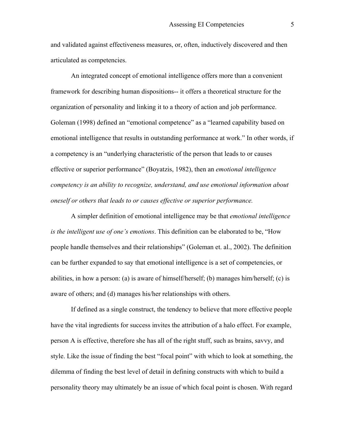and validated against effectiveness measures, or, often, inductively discovered and then articulated as competencies.

 An integrated concept of emotional intelligence offers more than a convenient framework for describing human dispositions-- it offers a theoretical structure for the organization of personality and linking it to a theory of action and job performance. Goleman (1998) defined an "emotional competence" as a "learned capability based on emotional intelligence that results in outstanding performance at work." In other words, if a competency is an "underlying characteristic of the person that leads to or causes effective or superior performance" (Boyatzis, 1982), then an *emotional intelligence competency is an ability to recognize, understand, and use emotional information about oneself or others that leads to or causes effective or superior performance.*

A simpler definition of emotional intelligence may be that *emotional intelligence is the intelligent use of one's emotions*. This definition can be elaborated to be, "How people handle themselves and their relationships" (Goleman et. al., 2002). The definition can be further expanded to say that emotional intelligence is a set of competencies, or abilities, in how a person: (a) is aware of himself/herself; (b) manages him/herself; (c) is aware of others; and (d) manages his/her relationships with others.

 If defined as a single construct, the tendency to believe that more effective people have the vital ingredients for success invites the attribution of a halo effect. For example, person A is effective, therefore she has all of the right stuff, such as brains, savvy, and style. Like the issue of finding the best "focal point" with which to look at something, the dilemma of finding the best level of detail in defining constructs with which to build a personality theory may ultimately be an issue of which focal point is chosen. With regard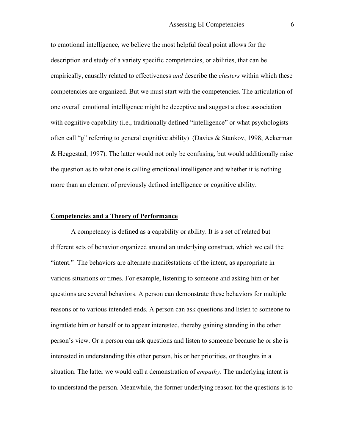to emotional intelligence, we believe the most helpful focal point allows for the description and study of a variety specific competencies, or abilities, that can be empirically, causally related to effectiveness *and* describe the *clusters* within which these competencies are organized. But we must start with the competencies. The articulation of one overall emotional intelligence might be deceptive and suggest a close association with cognitive capability (i.e., traditionally defined "intelligence" or what psychologists often call "g" referring to general cognitive ability) (Davies & Stankov, 1998; Ackerman & Heggestad, 1997). The latter would not only be confusing, but would additionally raise the question as to what one is calling emotional intelligence and whether it is nothing more than an element of previously defined intelligence or cognitive ability.

#### **Competencies and a Theory of Performance**

A competency is defined as a capability or ability. It is a set of related but different sets of behavior organized around an underlying construct, which we call the "intent." The behaviors are alternate manifestations of the intent, as appropriate in various situations or times. For example, listening to someone and asking him or her questions are several behaviors. A person can demonstrate these behaviors for multiple reasons or to various intended ends. A person can ask questions and listen to someone to ingratiate him or herself or to appear interested, thereby gaining standing in the other person's view. Or a person can ask questions and listen to someone because he or she is interested in understanding this other person, his or her priorities, or thoughts in a situation. The latter we would call a demonstration of *empathy*. The underlying intent is to understand the person. Meanwhile, the former underlying reason for the questions is to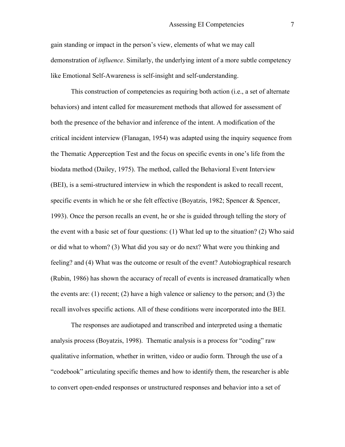gain standing or impact in the person's view, elements of what we may call demonstration of *influence*. Similarly, the underlying intent of a more subtle competency like Emotional Self-Awareness is self-insight and self-understanding.

This construction of competencies as requiring both action (i.e., a set of alternate behaviors) and intent called for measurement methods that allowed for assessment of both the presence of the behavior and inference of the intent. A modification of the critical incident interview (Flanagan, 1954) was adapted using the inquiry sequence from the Thematic Apperception Test and the focus on specific events in one's life from the biodata method (Dailey, 1975). The method, called the Behavioral Event Interview (BEI), is a semi-structured interview in which the respondent is asked to recall recent, specific events in which he or she felt effective (Boyatzis, 1982; Spencer & Spencer, 1993). Once the person recalls an event, he or she is guided through telling the story of the event with a basic set of four questions: (1) What led up to the situation? (2) Who said or did what to whom? (3) What did you say or do next? What were you thinking and feeling? and (4) What was the outcome or result of the event? Autobiographical research (Rubin, 1986) has shown the accuracy of recall of events is increased dramatically when the events are: (1) recent; (2) have a high valence or saliency to the person; and (3) the recall involves specific actions. All of these conditions were incorporated into the BEI.

The responses are audiotaped and transcribed and interpreted using a thematic analysis process (Boyatzis, 1998). Thematic analysis is a process for "coding" raw qualitative information, whether in written, video or audio form. Through the use of a "codebook" articulating specific themes and how to identify them, the researcher is able to convert open-ended responses or unstructured responses and behavior into a set of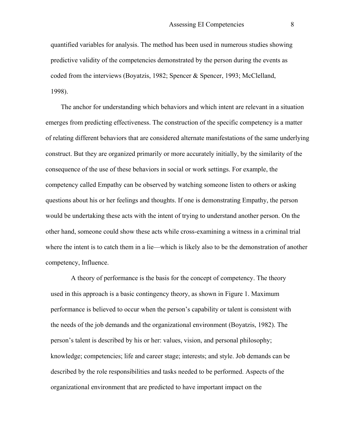quantified variables for analysis. The method has been used in numerous studies showing predictive validity of the competencies demonstrated by the person during the events as coded from the interviews (Boyatzis, 1982; Spencer & Spencer, 1993; McClelland, 1998).

 The anchor for understanding which behaviors and which intent are relevant in a situation emerges from predicting effectiveness. The construction of the specific competency is a matter of relating different behaviors that are considered alternate manifestations of the same underlying construct. But they are organized primarily or more accurately initially, by the similarity of the consequence of the use of these behaviors in social or work settings. For example, the competency called Empathy can be observed by watching someone listen to others or asking questions about his or her feelings and thoughts. If one is demonstrating Empathy, the person would be undertaking these acts with the intent of trying to understand another person. On the other hand, someone could show these acts while cross-examining a witness in a criminal trial where the intent is to catch them in a lie—which is likely also to be the demonstration of another competency, Influence.

A theory of performance is the basis for the concept of competency. The theory used in this approach is a basic contingency theory, as shown in Figure 1. Maximum performance is believed to occur when the person's capability or talent is consistent with the needs of the job demands and the organizational environment (Boyatzis, 1982). The person's talent is described by his or her: values, vision, and personal philosophy; knowledge; competencies; life and career stage; interests; and style. Job demands can be described by the role responsibilities and tasks needed to be performed. Aspects of the organizational environment that are predicted to have important impact on the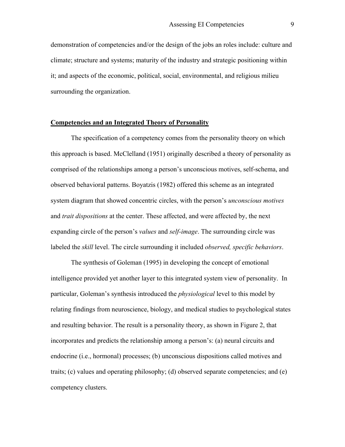demonstration of competencies and/or the design of the jobs an roles include: culture and climate; structure and systems; maturity of the industry and strategic positioning within it; and aspects of the economic, political, social, environmental, and religious milieu surrounding the organization.

#### **Competencies and an Integrated Theory of Personality**

 The specification of a competency comes from the personality theory on which this approach is based. McClelland (1951) originally described a theory of personality as comprised of the relationships among a person's unconscious motives, self-schema, and observed behavioral patterns. Boyatzis (1982) offered this scheme as an integrated system diagram that showed concentric circles, with the person's *unconscious motives* and *trait dispositions* at the center. These affected, and were affected by, the next expanding circle of the person's *values* and *self-image*. The surrounding circle was labeled the *skill* level. The circle surrounding it included *observed, specific behaviors*.

The synthesis of Goleman (1995) in developing the concept of emotional intelligence provided yet another layer to this integrated system view of personality. In particular, Goleman's synthesis introduced the *physiological* level to this model by relating findings from neuroscience, biology, and medical studies to psychological states and resulting behavior. The result is a personality theory, as shown in Figure 2, that incorporates and predicts the relationship among a person's: (a) neural circuits and endocrine (i.e., hormonal) processes; (b) unconscious dispositions called motives and traits; (c) values and operating philosophy; (d) observed separate competencies; and (e) competency clusters.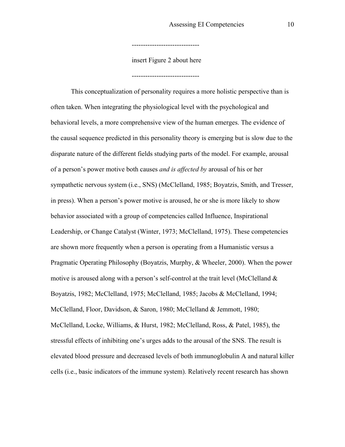insert Figure 2 about here

------------------------------

------------------------------

 This conceptualization of personality requires a more holistic perspective than is often taken. When integrating the physiological level with the psychological and behavioral levels, a more comprehensive view of the human emerges. The evidence of the causal sequence predicted in this personality theory is emerging but is slow due to the disparate nature of the different fields studying parts of the model. For example, arousal of a person's power motive both causes *and is affected by* arousal of his or her sympathetic nervous system (i.e., SNS) (McClelland, 1985; Boyatzis, Smith, and Tresser, in press). When a person's power motive is aroused, he or she is more likely to show behavior associated with a group of competencies called Influence, Inspirational Leadership, or Change Catalyst (Winter, 1973; McClelland, 1975). These competencies are shown more frequently when a person is operating from a Humanistic versus a Pragmatic Operating Philosophy (Boyatzis, Murphy, & Wheeler, 2000). When the power motive is aroused along with a person's self-control at the trait level (McClelland  $\&$ Boyatzis, 1982; McClelland, 1975; McClelland, 1985; Jacobs & McClelland, 1994; McClelland, Floor, Davidson, & Saron, 1980; McClelland & Jemmott, 1980; McClelland, Locke, Williams, & Hurst, 1982; McClelland, Ross, & Patel, 1985), the stressful effects of inhibiting one's urges adds to the arousal of the SNS. The result is elevated blood pressure and decreased levels of both immunoglobulin A and natural killer cells (i.e., basic indicators of the immune system). Relatively recent research has shown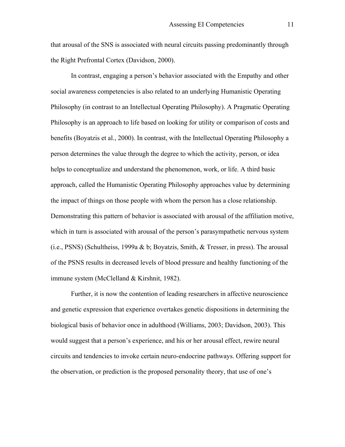that arousal of the SNS is associated with neural circuits passing predominantly through the Right Prefrontal Cortex (Davidson, 2000).

 In contrast, engaging a person's behavior associated with the Empathy and other social awareness competencies is also related to an underlying Humanistic Operating Philosophy (in contrast to an Intellectual Operating Philosophy). A Pragmatic Operating Philosophy is an approach to life based on looking for utility or comparison of costs and benefits (Boyatzis et al., 2000). In contrast, with the Intellectual Operating Philosophy a person determines the value through the degree to which the activity, person, or idea helps to conceptualize and understand the phenomenon, work, or life. A third basic approach, called the Humanistic Operating Philosophy approaches value by determining the impact of things on those people with whom the person has a close relationship. Demonstrating this pattern of behavior is associated with arousal of the affiliation motive, which in turn is associated with arousal of the person's parasympathetic nervous system (i.e., PSNS) (Schultheiss, 1999a & b; Boyatzis, Smith, & Tresser, in press). The arousal of the PSNS results in decreased levels of blood pressure and healthy functioning of the immune system (McClelland & Kirshnit, 1982).

 Further, it is now the contention of leading researchers in affective neuroscience and genetic expression that experience overtakes genetic dispositions in determining the biological basis of behavior once in adulthood (Williams, 2003; Davidson, 2003). This would suggest that a person's experience, and his or her arousal effect, rewire neural circuits and tendencies to invoke certain neuro-endocrine pathways. Offering support for the observation, or prediction is the proposed personality theory, that use of one's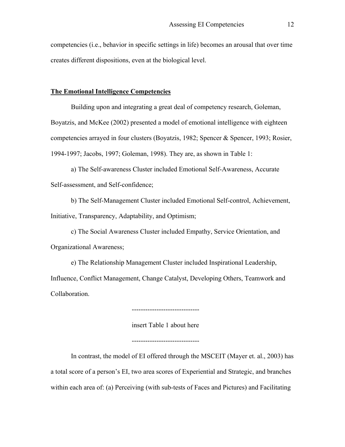competencies (i.e., behavior in specific settings in life) becomes an arousal that over time creates different dispositions, even at the biological level.

#### **The Emotional Intelligence Competencies**

 Building upon and integrating a great deal of competency research, Goleman, Boyatzis, and McKee (2002) presented a model of emotional intelligence with eighteen competencies arrayed in four clusters (Boyatzis, 1982; Spencer & Spencer, 1993; Rosier, 1994-1997; Jacobs, 1997; Goleman, 1998). They are, as shown in Table 1:

 a) The Self-awareness Cluster included Emotional Self-Awareness, Accurate Self-assessment, and Self-confidence;

 b) The Self-Management Cluster included Emotional Self-control, Achievement, Initiative, Transparency, Adaptability, and Optimism;

 c) The Social Awareness Cluster included Empathy, Service Orientation, and Organizational Awareness;

 e) The Relationship Management Cluster included Inspirational Leadership, Influence, Conflict Management, Change Catalyst, Developing Others, Teamwork and Collaboration.

------------------------------

insert Table 1 about here

------------------------------

 In contrast, the model of EI offered through the MSCEIT (Mayer et. al., 2003) has a total score of a person's EI, two area scores of Experiential and Strategic, and branches within each area of: (a) Perceiving (with sub-tests of Faces and Pictures) and Facilitating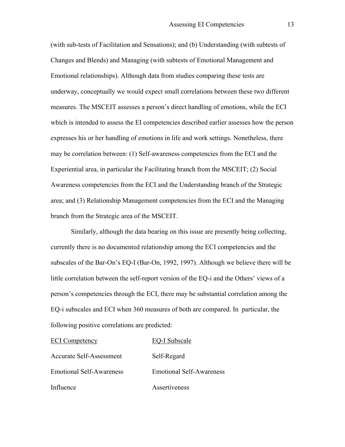(with sub-tests of Facilitation and Sensations); and (b) Understanding (with subtests of Changes and Blends) and Managing (with subtests of Emotional Management and Emotional relationships). Although data from studies comparing these tests are underway, conceptually we would expect small correlations between these two different measures. The MSCEIT assesses a person's direct handling of emotions, while the ECI which is intended to assess the EI competencies described earlier assesses how the person expresses his or her handling of emotions in life and work settings. Nonetheless, there may be correlation between: (1) Self-awareness competencies from the ECI and the Experiential area, in particular the Facilitating branch from the MSCEIT; (2) Social Awareness competencies from the ECI and the Understanding branch of the Strategic area; and (3) Relationship Management competencies from the ECI and the Managing branch from the Strategic area of the MSCEIT.

 Similarly, although the data bearing on this issue are presently being collecting, currently there is no documented relationship among the ECI competencies and the subscales of the Bar-On's EQ-I (Bar-On, 1992, 1997). Although we believe there will be little correlation between the self-report version of the EQ-i and the Others' views of a person's competencies through the ECI, there may be substantial correlation among the EQ-i subscales and ECI when 360 measures of both are compared. In particular, the following positive correlations are predicted:

#### ECI Competency EQ-I Subscale

Accurate Self-Assessment Self-Regard Emotional Self-Awareness Emotional Self-Awareness Influence Assertiveness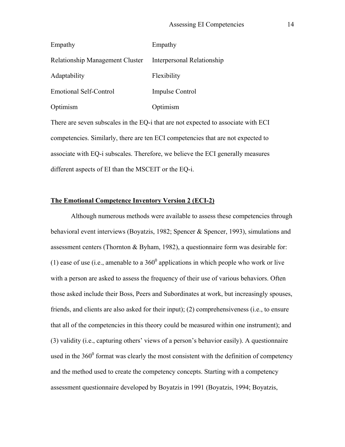| Empathy                                | Empathy                    |
|----------------------------------------|----------------------------|
| <b>Relationship Management Cluster</b> | Interpersonal Relationship |
| Adaptability                           | Flexibility                |
| <b>Emotional Self-Control</b>          | Impulse Control            |
| Optimism                               | Optimism                   |

There are seven subscales in the EQ-i that are not expected to associate with ECI competencies. Similarly, there are ten ECI competencies that are not expected to associate with EQ-i subscales. Therefore, we believe the ECI generally measures different aspects of EI than the MSCEIT or the EQ-i.

### **The Emotional Competence Inventory Version 2 (ECI-2)**

 Although numerous methods were available to assess these competencies through behavioral event interviews (Boyatzis, 1982; Spencer & Spencer, 1993), simulations and assessment centers (Thornton & Byham, 1982), a questionnaire form was desirable for: (1) ease of use (i.e., amenable to a  $360^{\circ}$  applications in which people who work or live with a person are asked to assess the frequency of their use of various behaviors. Often those asked include their Boss, Peers and Subordinates at work, but increasingly spouses, friends, and clients are also asked for their input); (2) comprehensiveness (i.e., to ensure that all of the competencies in this theory could be measured within one instrument); and (3) validity (i.e., capturing others' views of a person's behavior easily). A questionnaire used in the  $360^{\circ}$  format was clearly the most consistent with the definition of competency and the method used to create the competency concepts. Starting with a competency assessment questionnaire developed by Boyatzis in 1991 (Boyatzis, 1994; Boyatzis,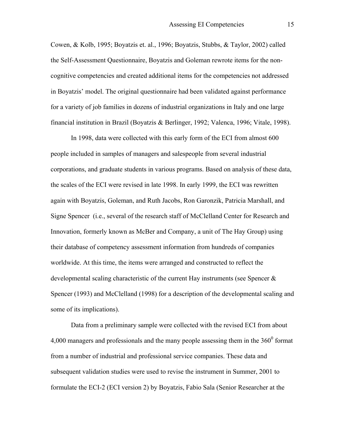Cowen, & Kolb, 1995; Boyatzis et. al., 1996; Boyatzis, Stubbs, & Taylor, 2002) called the Self-Assessment Questionnaire, Boyatzis and Goleman rewrote items for the noncognitive competencies and created additional items for the competencies not addressed in Boyatzis' model. The original questionnaire had been validated against performance for a variety of job families in dozens of industrial organizations in Italy and one large financial institution in Brazil (Boyatzis & Berlinger, 1992; Valenca, 1996; Vitale, 1998).

In 1998, data were collected with this early form of the ECI from almost 600 people included in samples of managers and salespeople from several industrial corporations, and graduate students in various programs. Based on analysis of these data, the scales of the ECI were revised in late 1998. In early 1999, the ECI was rewritten again with Boyatzis, Goleman, and Ruth Jacobs, Ron Garonzik, Patricia Marshall, and Signe Spencer (i.e., several of the research staff of McClelland Center for Research and Innovation, formerly known as McBer and Company, a unit of The Hay Group) using their database of competency assessment information from hundreds of companies worldwide. At this time, the items were arranged and constructed to reflect the developmental scaling characteristic of the current Hay instruments (see Spencer & Spencer (1993) and McClelland (1998) for a description of the developmental scaling and some of its implications).

Data from a preliminary sample were collected with the revised ECI from about 4,000 managers and professionals and the many people assessing them in the  $360^{\circ}$  format from a number of industrial and professional service companies. These data and subsequent validation studies were used to revise the instrument in Summer, 2001 to formulate the ECI-2 (ECI version 2) by Boyatzis, Fabio Sala (Senior Researcher at the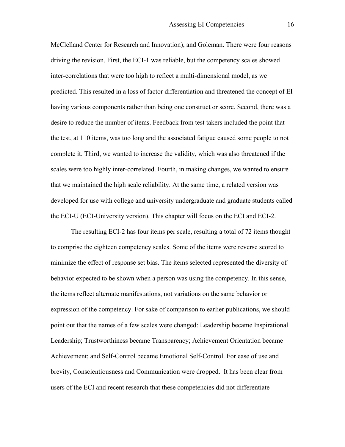McClelland Center for Research and Innovation), and Goleman. There were four reasons driving the revision. First, the ECI-1 was reliable, but the competency scales showed inter-correlations that were too high to reflect a multi-dimensional model, as we predicted. This resulted in a loss of factor differentiation and threatened the concept of EI having various components rather than being one construct or score. Second, there was a desire to reduce the number of items. Feedback from test takers included the point that the test, at 110 items, was too long and the associated fatigue caused some people to not complete it. Third, we wanted to increase the validity, which was also threatened if the scales were too highly inter-correlated. Fourth, in making changes, we wanted to ensure that we maintained the high scale reliability. At the same time, a related version was developed for use with college and university undergraduate and graduate students called the ECI-U (ECI-University version). This chapter will focus on the ECI and ECI-2.

The resulting ECI-2 has four items per scale, resulting a total of 72 items thought to comprise the eighteen competency scales. Some of the items were reverse scored to minimize the effect of response set bias. The items selected represented the diversity of behavior expected to be shown when a person was using the competency. In this sense, the items reflect alternate manifestations, not variations on the same behavior or expression of the competency. For sake of comparison to earlier publications, we should point out that the names of a few scales were changed: Leadership became Inspirational Leadership; Trustworthiness became Transparency; Achievement Orientation became Achievement; and Self-Control became Emotional Self-Control. For ease of use and brevity, Conscientiousness and Communication were dropped. It has been clear from users of the ECI and recent research that these competencies did not differentiate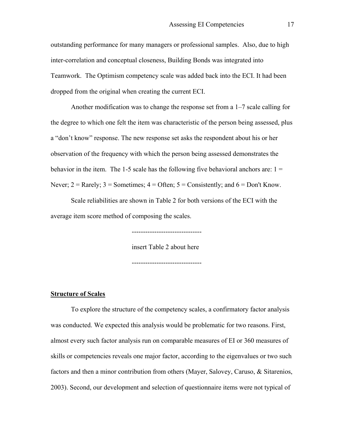outstanding performance for many managers or professional samples. Also, due to high inter-correlation and conceptual closeness, Building Bonds was integrated into Teamwork. The Optimism competency scale was added back into the ECI. It had been dropped from the original when creating the current ECI.

Another modification was to change the response set from a 1–7 scale calling for the degree to which one felt the item was characteristic of the person being assessed, plus a "don't know" response. The new response set asks the respondent about his or her observation of the frequency with which the person being assessed demonstrates the behavior in the item. The 1-5 scale has the following five behavioral anchors are:  $1 =$ Never;  $2 =$  Rarely;  $3 =$  Sometimes;  $4 =$  Often;  $5 =$  Consistently; and  $6 =$  Don't Know.

Scale reliabilities are shown in Table 2 for both versions of the ECI with the average item score method of composing the scales.

-------------------------------

insert Table 2 about here

-------------------------------

#### **Structure of Scales**

 To explore the structure of the competency scales, a confirmatory factor analysis was conducted. We expected this analysis would be problematic for two reasons. First, almost every such factor analysis run on comparable measures of EI or 360 measures of skills or competencies reveals one major factor, according to the eigenvalues or two such factors and then a minor contribution from others (Mayer, Salovey, Caruso, & Sitarenios, 2003). Second, our development and selection of questionnaire items were not typical of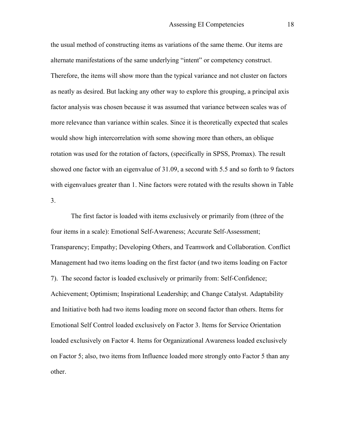the usual method of constructing items as variations of the same theme. Our items are alternate manifestations of the same underlying "intent" or competency construct. Therefore, the items will show more than the typical variance and not cluster on factors as neatly as desired. But lacking any other way to explore this grouping, a principal axis factor analysis was chosen because it was assumed that variance between scales was of more relevance than variance within scales. Since it is theoretically expected that scales would show high intercorrelation with some showing more than others, an oblique rotation was used for the rotation of factors, (specifically in SPSS, Promax). The result showed one factor with an eigenvalue of 31.09, a second with 5.5 and so forth to 9 factors with eigenvalues greater than 1. Nine factors were rotated with the results shown in Table 3.

 The first factor is loaded with items exclusively or primarily from (three of the four items in a scale): Emotional Self-Awareness; Accurate Self-Assessment; Transparency; Empathy; Developing Others, and Teamwork and Collaboration. Conflict Management had two items loading on the first factor (and two items loading on Factor 7). The second factor is loaded exclusively or primarily from: Self-Confidence; Achievement; Optimism; Inspirational Leadership; and Change Catalyst. Adaptability and Initiative both had two items loading more on second factor than others. Items for Emotional Self Control loaded exclusively on Factor 3. Items for Service Orientation loaded exclusively on Factor 4. Items for Organizational Awareness loaded exclusively on Factor 5; also, two items from Influence loaded more strongly onto Factor 5 than any other.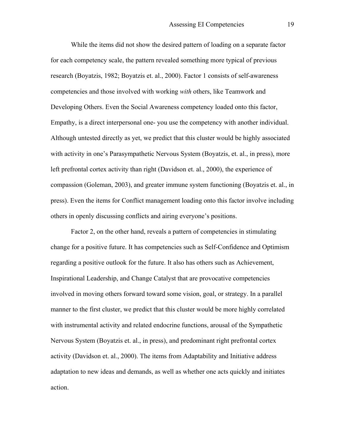While the items did not show the desired pattern of loading on a separate factor for each competency scale, the pattern revealed something more typical of previous research (Boyatzis, 1982; Boyatzis et. al., 2000). Factor 1 consists of self-awareness competencies and those involved with working *with* others, like Teamwork and Developing Others. Even the Social Awareness competency loaded onto this factor, Empathy, is a direct interpersonal one- you use the competency with another individual. Although untested directly as yet, we predict that this cluster would be highly associated with activity in one's Parasympathetic Nervous System (Boyatzis, et. al., in press), more left prefrontal cortex activity than right (Davidson et. al., 2000), the experience of compassion (Goleman, 2003), and greater immune system functioning (Boyatzis et. al., in press). Even the items for Conflict management loading onto this factor involve including others in openly discussing conflicts and airing everyone's positions.

 Factor 2, on the other hand, reveals a pattern of competencies in stimulating change for a positive future. It has competencies such as Self-Confidence and Optimism regarding a positive outlook for the future. It also has others such as Achievement, Inspirational Leadership, and Change Catalyst that are provocative competencies involved in moving others forward toward some vision, goal, or strategy. In a parallel manner to the first cluster, we predict that this cluster would be more highly correlated with instrumental activity and related endocrine functions, arousal of the Sympathetic Nervous System (Boyatzis et. al., in press), and predominant right prefrontal cortex activity (Davidson et. al., 2000). The items from Adaptability and Initiative address adaptation to new ideas and demands, as well as whether one acts quickly and initiates action.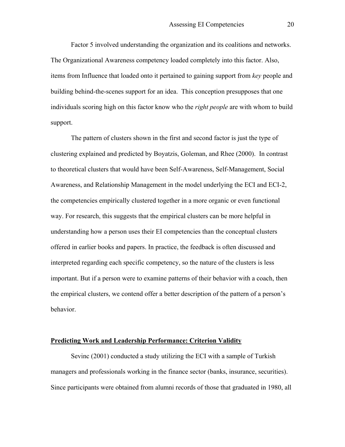Factor 5 involved understanding the organization and its coalitions and networks. The Organizational Awareness competency loaded completely into this factor. Also, items from Influence that loaded onto it pertained to gaining support from *key* people and building behind-the-scenes support for an idea. This conception presupposes that one individuals scoring high on this factor know who the *right people* are with whom to build support.

 The pattern of clusters shown in the first and second factor is just the type of clustering explained and predicted by Boyatzis, Goleman, and Rhee (2000). In contrast to theoretical clusters that would have been Self-Awareness, Self-Management, Social Awareness, and Relationship Management in the model underlying the ECI and ECI-2, the competencies empirically clustered together in a more organic or even functional way. For research, this suggests that the empirical clusters can be more helpful in understanding how a person uses their EI competencies than the conceptual clusters offered in earlier books and papers. In practice, the feedback is often discussed and interpreted regarding each specific competency, so the nature of the clusters is less important. But if a person were to examine patterns of their behavior with a coach, then the empirical clusters, we contend offer a better description of the pattern of a person's behavior.

#### **Predicting Work and Leadership Performance: Criterion Validity**

Sevinc (2001) conducted a study utilizing the ECI with a sample of Turkish managers and professionals working in the finance sector (banks, insurance, securities). Since participants were obtained from alumni records of those that graduated in 1980, all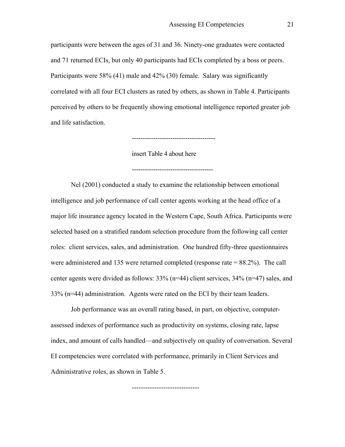participants were between the ages of 31 and 36. Ninety-one graduates were contacted and 71 returned ECIs, but only 40 participants had ECIs completed by a boss or peers. Participants were 58% (41) male and 42% (30) female. Salary was significantly correlated with all four ECI clusters as rated by others, as shown in Table 4. Participants perceived by others to be frequently showing emotional intelligence reported greater job and life satisfaction.

---------------------------------------

insert Table 4 about here

--------------------------------------

 Nel (2001) conducted a study to examine the relationship between emotional intelligence and job performance of call center agents working at the head office of a major life insurance agency located in the Western Cape, South Africa. Participants were selected based on a stratified random selection procedure from the following call center roles: client services, sales, and administration. One hundred fifty-three questionnaires were administered and 135 were returned completed (response rate = 88.2%). The call center agents were divided as follows: 33% (n=44) client services, 34% (n=47) sales, and 33% (n=44) administration. Agents were rated on the ECI by their team leaders.

Job performance was an overall rating based, in part, on objective, computerassessed indexes of performance such as productivity on systems, closing rate, lapse index, and amount of calls handled—and subjectively on quality of conversation. Several EI competencies were correlated with performance, primarily in Client Services and Administrative roles, as shown in Table 5.

------------------------------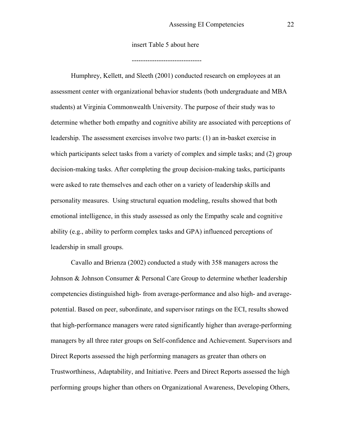#### insert Table 5 about here

-------------------------------

Humphrey, Kellett, and Sleeth (2001) conducted research on employees at an assessment center with organizational behavior students (both undergraduate and MBA students) at Virginia Commonwealth University. The purpose of their study was to determine whether both empathy and cognitive ability are associated with perceptions of leadership. The assessment exercises involve two parts: (1) an in-basket exercise in which participants select tasks from a variety of complex and simple tasks; and (2) group decision-making tasks. After completing the group decision-making tasks, participants were asked to rate themselves and each other on a variety of leadership skills and personality measures. Using structural equation modeling, results showed that both emotional intelligence, in this study assessed as only the Empathy scale and cognitive ability (e.g., ability to perform complex tasks and GPA) influenced perceptions of leadership in small groups.

Cavallo and Brienza (2002) conducted a study with 358 managers across the Johnson & Johnson Consumer & Personal Care Group to determine whether leadership competencies distinguished high- from average-performance and also high- and averagepotential. Based on peer, subordinate, and supervisor ratings on the ECI, results showed that high-performance managers were rated significantly higher than average-performing managers by all three rater groups on Self-confidence and Achievement. Supervisors and Direct Reports assessed the high performing managers as greater than others on Trustworthiness, Adaptability, and Initiative. Peers and Direct Reports assessed the high performing groups higher than others on Organizational Awareness, Developing Others,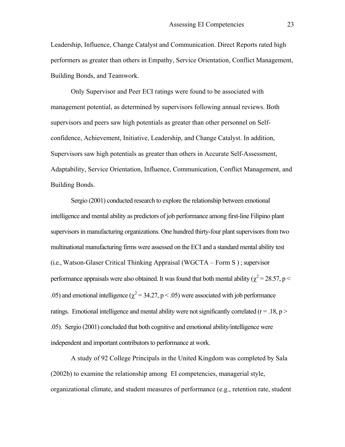Leadership, Influence, Change Catalyst and Communication. Direct Reports rated high performers as greater than others in Empathy, Service Orientation, Conflict Management, Building Bonds, and Teamwork.

Only Supervisor and Peer ECI ratings were found to be associated with management potential, as determined by supervisors following annual reviews. Both supervisors and peers saw high potentials as greater than other personnel on Selfconfidence, Achievement, Initiative, Leadership, and Change Catalyst. In addition, Supervisors saw high potentials as greater than others in Accurate Self-Assessment, Adaptability, Service Orientation, Influence, Communication, Conflict Management, and Building Bonds.

Sergio (2001) conducted research to explore the relationship between emotional intelligence and mental ability as predictors of job performance among first-line Filipino plant supervisors in manufacturing organizations. One hundred thirty-four plant supervisors from two multinational manufacturing firms were assessed on the ECI and a standard mental ability test (i.e., Watson-Glaser Critical Thinking Appraisal (WGCTA – Form S ) ; supervisor performance appraisals were also obtained. It was found that both mental ability ( $\chi^2$  = 28.57, p < .05) and emotional intelligence ( $\chi^2$  = 34.27, p < .05) were associated with job performance ratings. Emotional intelligence and mental ability were not significantly correlated ( $r = .18$ ,  $p >$ .05). Sergio (2001) concluded that both cognitive and emotional ability/intelligence were independent and important contributors to performance at work.

 A study of 92 College Principals in the United Kingdom was completed by Sala (2002b) to examine the relationship among EI competencies, managerial style, organizational climate, and student measures of performance (e.g., retention rate, student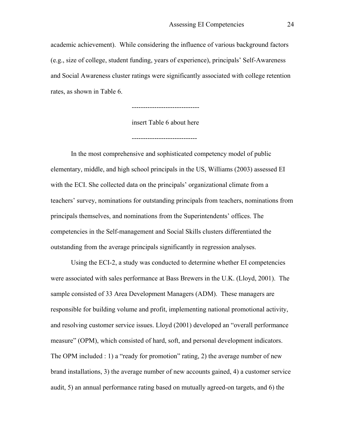academic achievement). While considering the influence of various background factors (e.g., size of college, student funding, years of experience), principals' Self-Awareness and Social Awareness cluster ratings were significantly associated with college retention rates, as shown in Table 6.

------------------------------

insert Table 6 about here

-----------------------------

In the most comprehensive and sophisticated competency model of public elementary, middle, and high school principals in the US, Williams (2003) assessed EI with the ECI. She collected data on the principals' organizational climate from a teachers' survey, nominations for outstanding principals from teachers, nominations from principals themselves, and nominations from the Superintendents' offices. The competencies in the Self-management and Social Skills clusters differentiated the outstanding from the average principals significantly in regression analyses.

Using the ECI-2, a study was conducted to determine whether EI competencies were associated with sales performance at Bass Brewers in the U.K. (Lloyd, 2001). The sample consisted of 33 Area Development Managers (ADM). These managers are responsible for building volume and profit, implementing national promotional activity, and resolving customer service issues. Lloyd (2001) developed an "overall performance measure" (OPM), which consisted of hard, soft, and personal development indicators. The OPM included : 1) a "ready for promotion" rating, 2) the average number of new brand installations, 3) the average number of new accounts gained, 4) a customer service audit, 5) an annual performance rating based on mutually agreed-on targets, and 6) the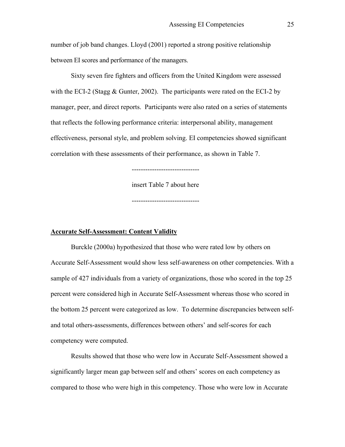number of job band changes. Lloyd (2001) reported a strong positive relationship between EI scores and performance of the managers.

 Sixty seven fire fighters and officers from the United Kingdom were assessed with the ECI-2 (Stagg  $&$  Gunter, 2002). The participants were rated on the ECI-2 by manager, peer, and direct reports. Participants were also rated on a series of statements that reflects the following performance criteria: interpersonal ability, management effectiveness, personal style, and problem solving. EI competencies showed significant correlation with these assessments of their performance, as shown in Table 7.

------------------------------

insert Table 7 about here

------------------------------

#### **Accurate Self-Assessment: Content Validity**

Burckle (2000a) hypothesized that those who were rated low by others on Accurate Self-Assessment would show less self-awareness on other competencies. With a sample of 427 individuals from a variety of organizations, those who scored in the top 25 percent were considered high in Accurate Self-Assessment whereas those who scored in the bottom 25 percent were categorized as low. To determine discrepancies between selfand total others-assessments, differences between others' and self-scores for each competency were computed.

Results showed that those who were low in Accurate Self-Assessment showed a significantly larger mean gap between self and others' scores on each competency as compared to those who were high in this competency. Those who were low in Accurate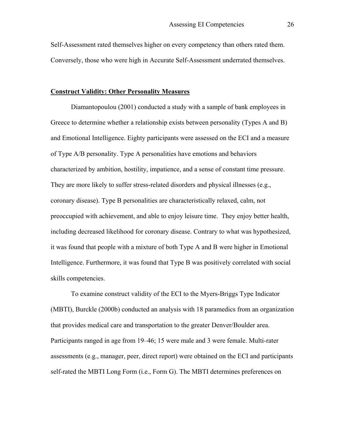Self-Assessment rated themselves higher on every competency than others rated them. Conversely, those who were high in Accurate Self-Assessment underrated themselves.

#### **Construct Validity: Other Personality Measures**

Diamantopoulou (2001) conducted a study with a sample of bank employees in Greece to determine whether a relationship exists between personality (Types A and B) and Emotional Intelligence. Eighty participants were assessed on the ECI and a measure of Type A/B personality. Type A personalities have emotions and behaviors characterized by ambition, hostility, impatience, and a sense of constant time pressure. They are more likely to suffer stress-related disorders and physical illnesses (e.g., coronary disease). Type B personalities are characteristically relaxed, calm, not preoccupied with achievement, and able to enjoy leisure time. They enjoy better health, including decreased likelihood for coronary disease. Contrary to what was hypothesized, it was found that people with a mixture of both Type A and B were higher in Emotional Intelligence. Furthermore, it was found that Type B was positively correlated with social skills competencies.

To examine construct validity of the ECI to the Myers-Briggs Type Indicator (MBTI), Burckle (2000b) conducted an analysis with 18 paramedics from an organization that provides medical care and transportation to the greater Denver/Boulder area. Participants ranged in age from 19–46; 15 were male and 3 were female. Multi-rater assessments (e.g., manager, peer, direct report) were obtained on the ECI and participants self-rated the MBTI Long Form (i.e., Form G). The MBTI determines preferences on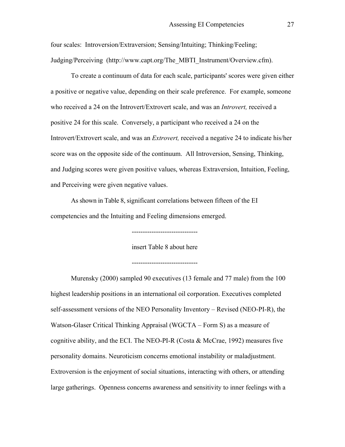four scales: Introversion/Extraversion; Sensing/Intuiting; Thinking/Feeling; Judging/Perceiving (http://www.capt.org/The\_MBTI\_Instrument/Overview.cfm).

To create a continuum of data for each scale, participants' scores were given either a positive or negative value, depending on their scale preference. For example, someone who received a 24 on the Introvert/Extrovert scale, and was an *Introvert,* received a positive 24 for this scale. Conversely, a participant who received a 24 on the Introvert/Extrovert scale, and was an *Extrovert,* received a negative 24 to indicate his/her score was on the opposite side of the continuum. All Introversion, Sensing, Thinking, and Judging scores were given positive values, whereas Extraversion, Intuition, Feeling, and Perceiving were given negative values.

As shown in Table 8, significant correlations between fifteen of the EI competencies and the Intuiting and Feeling dimensions emerged.

insert Table 8 about here

------------------------------

------------------------------

Murensky (2000) sampled 90 executives (13 female and 77 male) from the 100 highest leadership positions in an international oil corporation. Executives completed self-assessment versions of the NEO Personality Inventory – Revised (NEO-PI-R), the Watson-Glaser Critical Thinking Appraisal (WGCTA – Form S) as a measure of cognitive ability, and the ECI. The NEO-PI-R (Costa  $\&$  McCrae, 1992) measures five personality domains. Neuroticism concerns emotional instability or maladjustment. Extroversion is the enjoyment of social situations, interacting with others, or attending large gatherings. Openness concerns awareness and sensitivity to inner feelings with a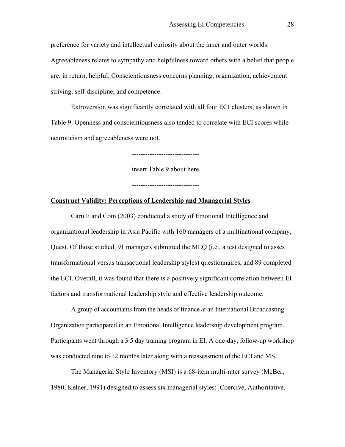preference for variety and intellectual curiosity about the inner and outer worlds. Agreeableness relates to sympathy and helpfulness toward others with a belief that people are, in return, helpful. Conscientiousness concerns planning, organization, achievement striving, self-discipline, and competence.

Extroversion was significantly correlated with all four ECI clusters, as shown in Table 9. Openness and conscientiousness also tended to correlate with ECI scores while neuroticism and agreeableness were not.

------------------------------

insert Table 9 about here

------------------------------

#### **Construct Validity: Perceptions of Leadership and Managerial Styles**

Carulli and Com (2003) conducted a study of Emotional Intelligence and organizational leadership in Asia Pacific with 160 managers of a multinational company, Quest. Of those studied, 91 managers submitted the MLQ (i.e., a test designed to asses transformational versus transactional leadership styles) questionnaires, and 89 completed the ECI. Overall, it was found that there is a positively significant correlation between EI factors and transformational leadership style and effective leadership outcome.

 A group of accountants from the heads of finance at an International Broadcasting Organization participated in an Emotional Intelligence leadership development program. Participants went through a 3.5 day training program in EI. A one-day, follow-up workshop was conducted nine to 12 months later along with a reassessment of the ECI and MSI.

The Managerial Style Inventory (MSI) is a 68-item multi-rater survey (McBer, 1980; Kelner, 1991) designed to assess six managerial styles: Coercive, Authoritative,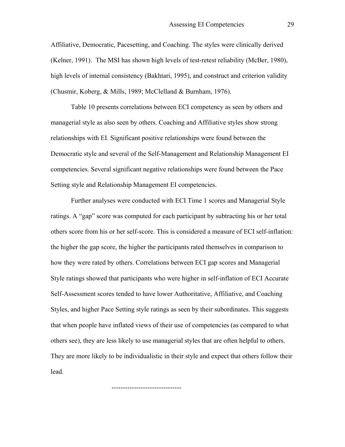Affiliative, Democratic, Pacesetting, and Coaching. The styles were clinically derived (Kelner, 1991). The MSI has shown high levels of test-retest reliability (McBer, 1980), high levels of internal consistency (Bakhtari, 1995), and construct and criterion validity (Chusmir, Koberg, & Mills, 1989; McClelland & Burnham, 1976).

Table 10 presents correlations between ECI competency as seen by others and managerial style as also seen by others. Coaching and Affiliative styles show strong relationships with EI. Significant positive relationships were found between the Democratic style and several of the Self-Management and Relationship Management EI competencies. Several significant negative relationships were found between the Pace Setting style and Relationship Management EI competencies.

 Further analyses were conducted with ECI Time 1 scores and Managerial Style ratings. A "gap" score was computed for each participant by subtracting his or her total others score from his or her self-score. This is considered a measure of ECI self-inflation: the higher the gap score, the higher the participants rated themselves in comparison to how they were rated by others. Correlations between ECI gap scores and Managerial Style ratings showed that participants who were higher in self-inflation of ECI Accurate Self-Assessment scores tended to have lower Authoritative, Affiliative, and Coaching Styles, and higher Pace Setting style ratings as seen by their subordinates. This suggests that when people have inflated views of their use of competencies (as compared to what others see), they are less likely to use managerial styles that are often helpful to others. They are more likely to be individualistic in their style and expect that others follow their lead.

-------------------------------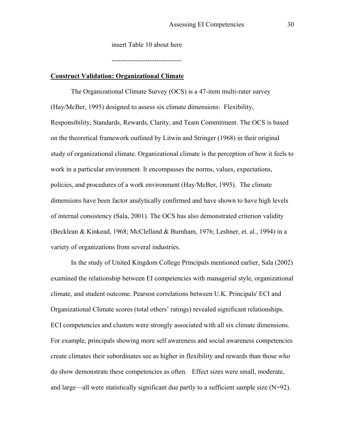insert Table 10 about here

-------------------------------

#### **Construct Validation: Organizational Climate**

The Organizational Climate Survey (OCS) is a 47-item multi-rater survey (Hay/McBer, 1995) designed to assess six climate dimensions: Flexibility, Responsibility, Standards, Rewards, Clarity, and Team Commitment. The OCS is based on the theoretical framework outlined by Litwin and Stringer (1968) in their original study of organizational climate. Organizational climate is the perception of how it feels to work in a particular environment. It encompasses the norms, values, expectations, policies, and procedures of a work environment (Hay/McBer, 1995). The climate dimensions have been factor analytically confirmed and have shown to have high levels of internal consistency (Sala, 2001). The OCS has also demonstrated criterion validity (Becklean & Kinkead, 1968; McClelland & Burnham, 1976; Leshner, et. al., 1994) in a variety of organizations from several industries.

 In the study of United Kingdom College Principals mentioned earlier, Sala (2002) examined the relationship between EI competencies with managerial style, organizational climate, and student outcome. Pearson correlations between U.K. Principals' ECI and Organizational Climate scores (total others' ratings) revealed significant relationships. ECI competencies and clusters were strongly associated with all six climate dimensions. For example, principals showing more self awareness and social awareness competencies create climates their subordinates see as higher in flexibility and rewards than those who do show demonstrate these competencies as often. Effect sizes were small, moderate, and large—all were statistically significant due partly to a sufficient sample size (N=92).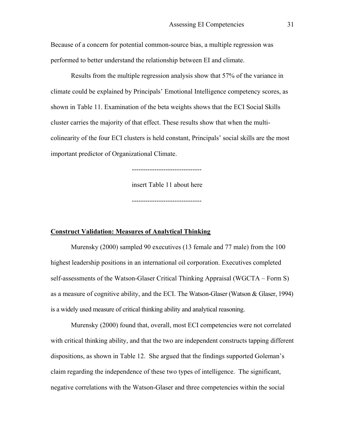Because of a concern for potential common-source bias, a multiple regression was performed to better understand the relationship between EI and climate.

 Results from the multiple regression analysis show that 57% of the variance in climate could be explained by Principals' Emotional Intelligence competency scores, as shown in Table 11. Examination of the beta weights shows that the ECI Social Skills cluster carries the majority of that effect. These results show that when the multicolinearity of the four ECI clusters is held constant, Principals' social skills are the most important predictor of Organizational Climate.

-------------------------------

insert Table 11 about here

-------------------------------

#### **Construct Validation: Measures of Analytical Thinking**

Murensky (2000) sampled 90 executives (13 female and 77 male) from the 100 highest leadership positions in an international oil corporation. Executives completed self-assessments of the Watson-Glaser Critical Thinking Appraisal (WGCTA – Form S) as a measure of cognitive ability, and the ECI. The Watson-Glaser (Watson & Glaser, 1994) is a widely used measure of critical thinking ability and analytical reasoning.

Murensky (2000) found that, overall, most ECI competencies were not correlated with critical thinking ability, and that the two are independent constructs tapping different dispositions, as shown in Table 12. She argued that the findings supported Goleman's claim regarding the independence of these two types of intelligence. The significant, negative correlations with the Watson-Glaser and three competencies within the social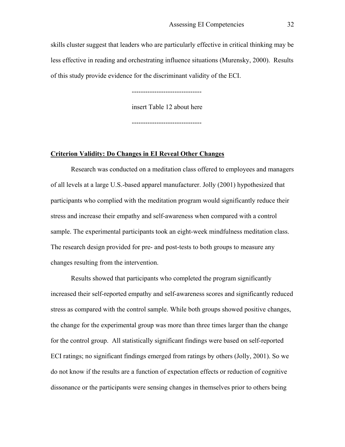skills cluster suggest that leaders who are particularly effective in critical thinking may be less effective in reading and orchestrating influence situations (Murensky, 2000). Results of this study provide evidence for the discriminant validity of the ECI.

-------------------------------

insert Table 12 about here

-------------------------------

#### **Criterion Validity: Do Changes in EI Reveal Other Changes**

Research was conducted on a meditation class offered to employees and managers of all levels at a large U.S.-based apparel manufacturer. Jolly (2001) hypothesized that participants who complied with the meditation program would significantly reduce their stress and increase their empathy and self-awareness when compared with a control sample. The experimental participants took an eight-week mindfulness meditation class. The research design provided for pre- and post-tests to both groups to measure any changes resulting from the intervention.

 Results showed that participants who completed the program significantly increased their self-reported empathy and self-awareness scores and significantly reduced stress as compared with the control sample. While both groups showed positive changes, the change for the experimental group was more than three times larger than the change for the control group. All statistically significant findings were based on self-reported ECI ratings; no significant findings emerged from ratings by others (Jolly, 2001). So we do not know if the results are a function of expectation effects or reduction of cognitive dissonance or the participants were sensing changes in themselves prior to others being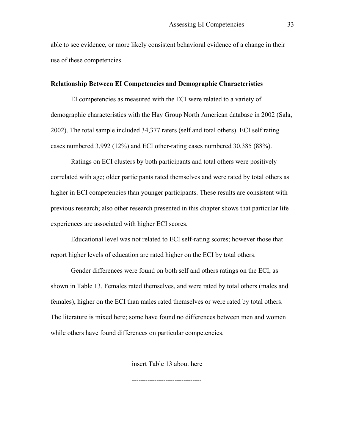able to see evidence, or more likely consistent behavioral evidence of a change in their use of these competencies.

### **Relationship Between EI Competencies and Demographic Characteristics**

EI competencies as measured with the ECI were related to a variety of demographic characteristics with the Hay Group North American database in 2002 (Sala, 2002). The total sample included 34,377 raters (self and total others). ECI self rating cases numbered 3,992 (12%) and ECI other-rating cases numbered 30,385 (88%).

Ratings on ECI clusters by both participants and total others were positively correlated with age; older participants rated themselves and were rated by total others as higher in ECI competencies than younger participants. These results are consistent with previous research; also other research presented in this chapter shows that particular life experiences are associated with higher ECI scores.

 Educational level was not related to ECI self-rating scores; however those that report higher levels of education are rated higher on the ECI by total others.

 Gender differences were found on both self and others ratings on the ECI, as shown in Table 13. Females rated themselves, and were rated by total others (males and females), higher on the ECI than males rated themselves or were rated by total others. The literature is mixed here; some have found no differences between men and women while others have found differences on particular competencies.

-------------------------------

insert Table 13 about here

-------------------------------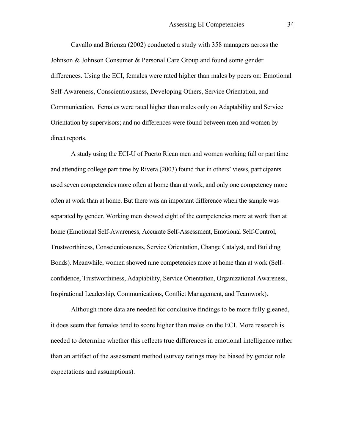Cavallo and Brienza (2002) conducted a study with 358 managers across the Johnson & Johnson Consumer & Personal Care Group and found some gender differences. Using the ECI, females were rated higher than males by peers on: Emotional Self-Awareness, Conscientiousness, Developing Others, Service Orientation, and Communication. Females were rated higher than males only on Adaptability and Service Orientation by supervisors; and no differences were found between men and women by direct reports.

A study using the ECI-U of Puerto Rican men and women working full or part time and attending college part time by Rivera (2003) found that in others' views, participants used seven competencies more often at home than at work, and only one competency more often at work than at home. But there was an important difference when the sample was separated by gender. Working men showed eight of the competencies more at work than at home (Emotional Self-Awareness, Accurate Self-Assessment, Emotional Self-Control, Trustworthiness, Conscientiousness, Service Orientation, Change Catalyst, and Building Bonds). Meanwhile, women showed nine competencies more at home than at work (Selfconfidence, Trustworthiness, Adaptability, Service Orientation, Organizational Awareness, Inspirational Leadership, Communications, Conflict Management, and Teamwork).

 Although more data are needed for conclusive findings to be more fully gleaned, it does seem that females tend to score higher than males on the ECI. More research is needed to determine whether this reflects true differences in emotional intelligence rather than an artifact of the assessment method (survey ratings may be biased by gender role expectations and assumptions).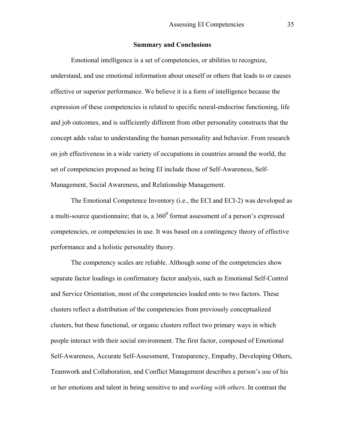#### **Summary and Conclusions**

Emotional intelligence is a set of competencies, or abilities to recognize, understand, and use emotional information about oneself or others that leads to or causes effective or superior performance. We believe it is a form of intelligence because the expression of these competencies is related to specific neural-endocrine functioning, life and job outcomes, and is sufficiently different from other personality constructs that the concept adds value to understanding the human personality and behavior. From research on job effectiveness in a wide variety of occupations in countries around the world, the set of competencies proposed as being EI include those of Self-Awareness, Self-Management, Social Awareness, and Relationship Management.

The Emotional Competence Inventory (i.e., the ECI and ECI-2) was developed as a multi-source questionnaire; that is, a  $360^{\circ}$  format assessment of a person's expressed competencies, or competencies in use. It was based on a contingency theory of effective performance and a holistic personality theory.

The competency scales are reliable. Although some of the competencies show separate factor loadings in confirmatory factor analysis, such as Emotional Self-Control and Service Orientation, most of the competencies loaded onto to two factors. These clusters reflect a distribution of the competencies from previously conceptualized clusters, but these functional, or organic clusters reflect two primary ways in which people interact with their social environment. The first factor, composed of Emotional Self-Awareness, Accurate Self-Assessment, Transparency, Empathy, Developing Others, Teamwork and Collaboration, and Conflict Management describes a person's use of his or her emotions and talent in being sensitive to and *working with others*. In contrast the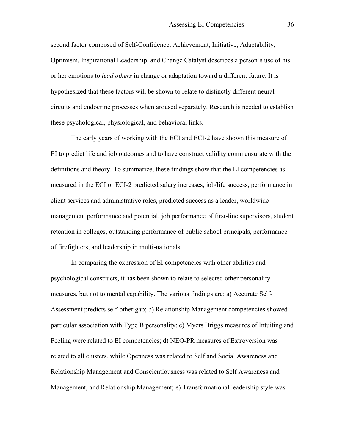second factor composed of Self-Confidence, Achievement, Initiative, Adaptability, Optimism, Inspirational Leadership, and Change Catalyst describes a person's use of his or her emotions to *lead others* in change or adaptation toward a different future. It is hypothesized that these factors will be shown to relate to distinctly different neural circuits and endocrine processes when aroused separately. Research is needed to establish these psychological, physiological, and behavioral links.

The early years of working with the ECI and ECI-2 have shown this measure of EI to predict life and job outcomes and to have construct validity commensurate with the definitions and theory. To summarize, these findings show that the EI competencies as measured in the ECI or ECI-2 predicted salary increases, job/life success, performance in client services and administrative roles, predicted success as a leader, worldwide management performance and potential, job performance of first-line supervisors, student retention in colleges, outstanding performance of public school principals, performance of firefighters, and leadership in multi-nationals.

In comparing the expression of EI competencies with other abilities and psychological constructs, it has been shown to relate to selected other personality measures, but not to mental capability. The various findings are: a) Accurate Self-Assessment predicts self-other gap; b) Relationship Management competencies showed particular association with Type B personality; c) Myers Briggs measures of Intuiting and Feeling were related to EI competencies; d) NEO-PR measures of Extroversion was related to all clusters, while Openness was related to Self and Social Awareness and Relationship Management and Conscientiousness was related to Self Awareness and Management, and Relationship Management; e) Transformational leadership style was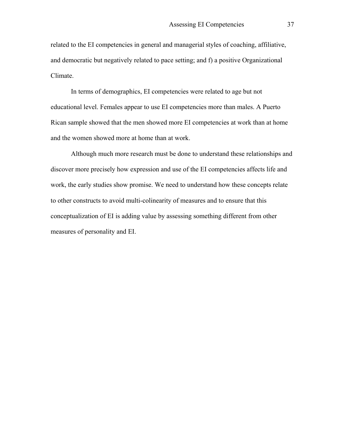related to the EI competencies in general and managerial styles of coaching, affiliative, and democratic but negatively related to pace setting; and f) a positive Organizational Climate.

 In terms of demographics, EI competencies were related to age but not educational level. Females appear to use EI competencies more than males. A Puerto Rican sample showed that the men showed more EI competencies at work than at home and the women showed more at home than at work.

 Although much more research must be done to understand these relationships and discover more precisely how expression and use of the EI competencies affects life and work, the early studies show promise. We need to understand how these concepts relate to other constructs to avoid multi-colinearity of measures and to ensure that this conceptualization of EI is adding value by assessing something different from other measures of personality and EI.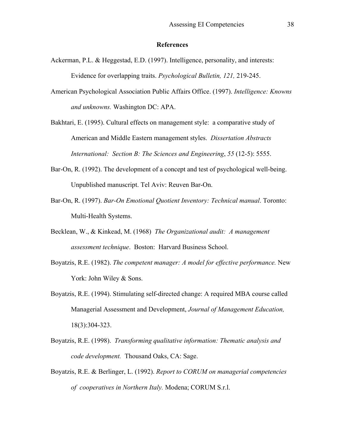#### **References**

- Ackerman, P.L. & Heggestad, E.D. (1997). Intelligence, personality, and interests: Evidence for overlapping traits. *Psychological Bulletin, 121,* 219-245.
- American Psychological Association Public Affairs Office. (1997). *Intelligence: Knowns and unknowns.* Washington DC: APA.

Bakhtari, E. (1995). Cultural effects on management style: a comparative study of American and Middle Eastern management styles. *Dissertation Abstracts International: Section B: The Sciences and Engineering*, *55* (12-5): 5555.

- Bar-On, R. (1992). The development of a concept and test of psychological well-being. Unpublished manuscript. Tel Aviv: Reuven Bar-On.
- Bar-On, R. (1997). *Bar-On Emotional Quotient Inventory: Technical manual*. Toronto: Multi-Health Systems.
- Becklean, W., & Kinkead, M. (1968) *The Organizational audit: A management assessment technique*. Boston: Harvard Business School.
- Boyatzis, R.E. (1982). *The competent manager: A model for effective performance.* New York: John Wiley & Sons.
- Boyatzis, R.E. (1994). Stimulating self-directed change: A required MBA course called Managerial Assessment and Development, *Journal of Management Education,*  18(3):304-323.
- Boyatzis, R.E. (1998). *Transforming qualitative information: Thematic analysis and code development.* Thousand Oaks, CA: Sage.
- Boyatzis, R.E. & Berlinger, L. (1992). *Report to CORUM on managerial competencies of cooperatives in Northern Italy.* Modena; CORUM S.r.l.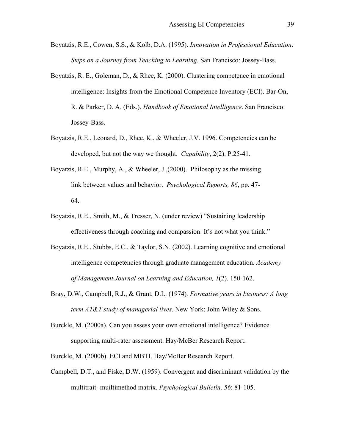- Boyatzis, R.E., Cowen, S.S., & Kolb, D.A. (1995). *Innovation in Professional Education: Steps on a Journey from Teaching to Learning.* San Francisco: Jossey-Bass.
- Boyatzis, R. E., Goleman, D., & Rhee, K. (2000). Clustering competence in emotional intelligence: Insights from the Emotional Competence Inventory (ECI). Bar-On, R. & Parker, D. A. (Eds.), *Handbook of Emotional Intelligence*. San Francisco: Jossey-Bass.
- Boyatzis, R.E., Leonard, D., Rhee, K., & Wheeler, J.V. 1996. Competencies can be developed, but not the way we thought. *Capability*, 2(2). P.25-41.
- Boyatzis, R.E., Murphy, A., & Wheeler, J.,(2000). Philosophy as the missing link between values and behavior. *Psychological Reports, 86*, pp. 47- 64.
- Boyatzis, R.E., Smith, M., & Tresser, N. (under review) "Sustaining leadership effectiveness through coaching and compassion: It's not what you think."
- Boyatzis, R.E., Stubbs, E.C., & Taylor, S.N. (2002). Learning cognitive and emotional intelligence competencies through graduate management education. *Academy of Management Journal on Learning and Education, 1*(2). 150-162.
- Bray, D.W., Campbell, R.J., & Grant, D.L. (1974)*. Formative years in business: A long term AT&T study of managerial lives*. New York: John Wiley & Sons.
- Burckle, M. (2000a). Can you assess your own emotional intelligence? Evidence supporting multi-rater assessment. Hay/McBer Research Report.
- Burckle, M. (2000b). ECI and MBTI. Hay/McBer Research Report.
- Campbell, D.T., and Fiske, D.W. (1959). Convergent and discriminant validation by the multitrait- muiltimethod matrix. *Psychological Bulletin, 56*: 81-105.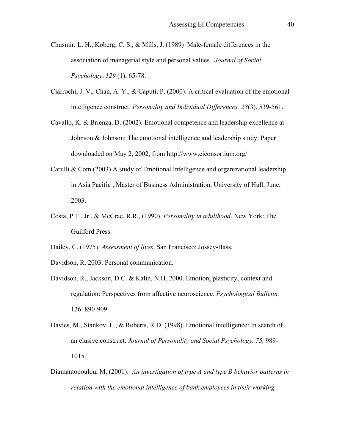- Chusmir, L. H., Koberg, C. S., & Mills, J. (1989) Male-female differences in the association of managerial style and personal values*. Journal of Social Psychology*, *129* (1), 65-78.
- Ciarrochi, J. V., Chan, A. Y., & Caputi, P. (2000). A critical evaluation of the emotional intelligence construct. *Personality and Individual Differences, 28*(3), 539-561.
- Cavallo, K. & Brienza, D. (2002). Emotional competence and leadership excellence at Johnson & Johnson: The emotional intelligence and leadership study. Paper downloaded on May 2, 2002, from http://www.eiconsortium.org/
- Carulli & Com (2003) A study of Emotional Intelligence and organizational leadership in Asia Pacific , Master of Business Administration, University of Hull, June, 2003.
- Costa, P.T., Jr., & McCrae, R.R., (1990). *Personality in adulthood*. New York: The Guilford Press.
- Dailey, C. (1975). *Assessment of lives.* San Francisco: Jossey-Bass.
- Davidson, R. 2003. Personal communication.
- Davidson, R., Jackson, D.C. & Kalin, N.H. 2000. Emotion, plasticity, context and regulation: Perspectives from affective neuroscience. *Psychological Bulletin,* 126: 890-909.
- Davies, M., Stankov, L., & Roberts, R.D. (1998). Emotional intelligence: In search of an elusive construct. *Journal of Personality and Social Psychology. 75,* 989- 1015.
- Diamantopoulou, M. (2001). *An investigation of type A and type B behavior patterns in relation with the emotional intelligence of bank employees in their working*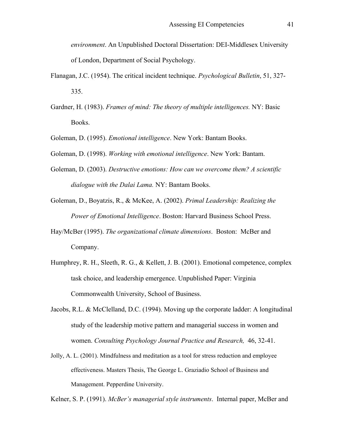*environment*. An Unpublished Doctoral Dissertation: DEI-Middlesex University of London, Department of Social Psychology.

- Flanagan, J.C. (1954). The critical incident technique. *Psychological Bulletin*, 51, 327- 335.
- Gardner, H. (1983). *Frames of mind: The theory of multiple intelligences.* NY: Basic Books.
- Goleman, D. (1995). *Emotional intelligence*. New York: Bantam Books.
- Goleman, D. (1998). *Working with emotional intelligence*. New York: Bantam.
- Goleman, D. (2003). *Destructive emotions: How can we overcome them? A scientific dialogue with the Dalai Lama.* NY: Bantam Books.
- Goleman, D., Boyatzis, R., & McKee, A. (2002). *Primal Leadership: Realizing the Power of Emotional Intelligence*. Boston: Harvard Business School Press.
- Hay/McBer (1995). *The organizational climate dimensions*. Boston: McBer and Company.
- Humphrey, R. H., Sleeth, R. G., & Kellett, J. B. (2001). Emotional competence, complex task choice, and leadership emergence. Unpublished Paper: Virginia Commonwealth University, School of Business.
- Jacobs, R.L. & McClelland, D.C. (1994). Moving up the corporate ladder: A longitudinal study of the leadership motive pattern and managerial success in women and women. *Consulting Psychology Journal Practice and Research,* 46, 32-41.
- Jolly, A. L. (2001). Mindfulness and meditation as a tool for stress reduction and employee effectiveness. Masters Thesis, The George L. Graziadio School of Business and Management. Pepperdine University.

Kelner, S. P. (1991). *McBer's managerial style instruments*. Internal paper, McBer and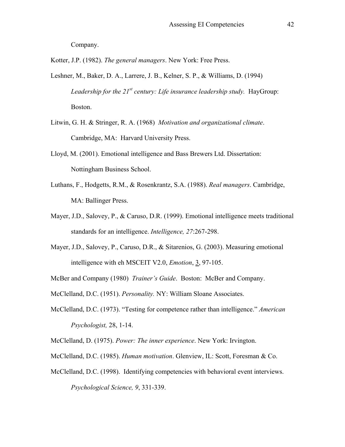Company.

Kotter, J.P. (1982). *The general managers*. New York: Free Press.

- Leshner, M., Baker, D. A., Larrere, J. B., Kelner, S. P., & Williams, D. (1994) *Leadership for the 21st century: Life insurance leadership study.* HayGroup: Boston.
- Litwin, G. H. & Stringer, R. A. (1968) *Motivation and organizational climate*. Cambridge, MA: Harvard University Press.
- Lloyd, M. (2001). Emotional intelligence and Bass Brewers Ltd. Dissertation: Nottingham Business School.
- Luthans, F., Hodgetts, R.M., & Rosenkrantz, S.A. (1988). *Real managers*. Cambridge, MA: Ballinger Press.
- Mayer, J.D., Salovey, P., & Caruso, D.R. (1999). Emotional intelligence meets traditional standards for an intelligence. *Intelligence, 27*:267-298.
- Mayer, J.D., Salovey, P., Caruso, D.R., & Sitarenios, G. (2003). Measuring emotional intelligence with eh MSCEIT V2.0, *Emotion*, 3, 97-105.

McBer and Company (1980) *Trainer's Guide*. Boston: McBer and Company.

McClelland, D.C. (1951). *Personality.* NY: William Sloane Associates.

McClelland, D.C. (1973). "Testing for competence rather than intelligence." *American Psychologist,* 28, 1-14.

McClelland, D. (1975). *Power: The inner experience*. New York: Irvington.

- McClelland, D.C. (1985). *Human motivation*. Glenview, IL: Scott, Foresman & Co.
- McClelland, D.C. (1998). Identifying competencies with behavioral event interviews. *Psychological Science, 9*, 331-339.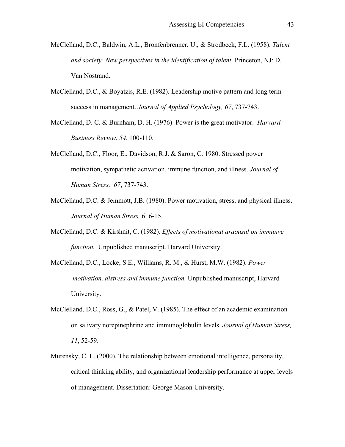- McClelland, D.C., Baldwin, A.L., Bronfenbrenner, U., & Strodbeck, F.L. (1958). *Talent and society: New perspectives in the identification of talent*. Princeton, NJ: D. Van Nostrand.
- McClelland, D.C., & Boyatzis, R.E. (1982). Leadership motive pattern and long term success in management. *Journal of Applied Psychology, 67*, 737-743.
- McClelland, D. C. & Burnham, D. H. (1976) Power is the great motivator. *Harvard Business Review*, *54*, 100-110.
- McClelland, D.C., Floor, E., Davidson, R.J. & Saron, C. 1980. Stressed power motivation, sympathetic activation, immune function, and illness. *Journal of Human Stress, 67*, 737-743.
- McClelland, D.C. & Jemmott, J.B. (1980). Power motivation, stress, and physical illness. *Journal of Human Stress,* 6: 6-15.
- McClelland, D.C. & Kirshnit, C. (1982). *Effects of motivational araousal on immunve function.* Unpublished manuscript. Harvard University.
- McClelland, D.C., Locke, S.E., Williams, R. M., & Hurst, M.W. (1982). *Power motivation, distress and immune function.* Unpublished manuscript, Harvard University.
- McClelland, D.C., Ross, G., & Patel, V. (1985). The effect of an academic examination on salivary norepinephrine and immunoglobulin levels. *Journal of Human Stress, 11*, 52-59.
- Murensky, C. L. (2000). The relationship between emotional intelligence, personality, critical thinking ability, and organizational leadership performance at upper levels of management. Dissertation: George Mason University.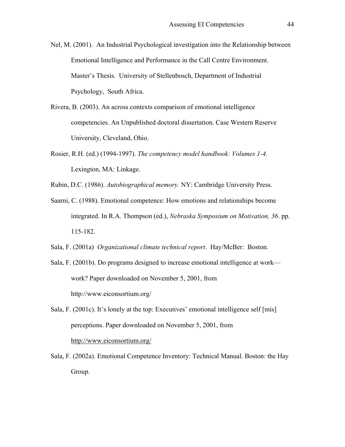Nel, M. (2001). An Industrial Psychological investigation into the Relationship between Emotional Intelligence and Performance in the Call Centre Environment. Master's Thesis. University of Stellenbosch, Department of Industrial Psychology, South Africa.

- Rivera, B. (2003). An across contexts comparison of emotional intelligence competencies. An Unpublished doctoral dissertation. Case Western Reserve University, Cleveland, Ohio.
- Rosier, R.H. (ed.) (1994-1997). *The competency model handbook: Volumes 1-4.*  Lexington, MA: Linkage.
- Rubin, D.C. (1986). *Autobiographical memory.* NY: Cambridge University Press.
- Saarni, C. (1988). Emotional competence: How emotions and relationships become integrated. In R.A. Thompson (ed.), *Nebraska Symposium on Motivation, 36*. pp. 115-182.
- Sala, F. (2001a) *Organizational climate technical report*. Hay/McBer: Boston.
- Sala, F. (2001b). Do programs designed to increase emotional intelligence at work work? Paper downloaded on November 5, 2001, from http://www.eiconsortium.org/
- Sala, F. (2001c). It's lonely at the top: Executives' emotional intelligence self [mis] perceptions. Paper downloaded on November 5, 2001, from http://www.eiconsortium.org/
- Sala, F. (2002a). Emotional Competence Inventory: Technical Manual. Boston: the Hay Group.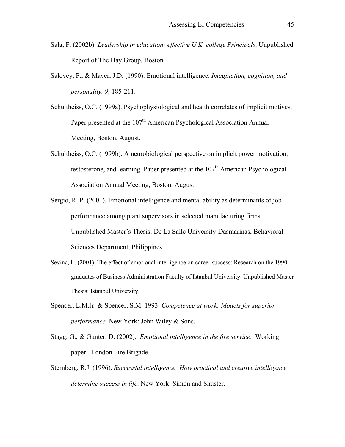- Sala, F. (2002b). *Leadership in education: effective U.K. college Principals*. Unpublished Report of The Hay Group, Boston.
- Salovey, P., & Mayer, J.D. (1990). Emotional intelligence. *Imagination, cognition, and personality, 9*, 185-211.
- Schultheiss, O.C. (1999a). Psychophysiological and health correlates of implicit motives. Paper presented at the 107<sup>th</sup> American Psychological Association Annual Meeting, Boston, August.
- Schultheiss, O.C. (1999b). A neurobiological perspective on implicit power motivation, testosterone, and learning. Paper presented at the  $107<sup>th</sup>$  American Psychological Association Annual Meeting, Boston, August.
- Sergio, R. P. (2001). Emotional intelligence and mental ability as determinants of job performance among plant supervisors in selected manufacturing firms. Unpublished Master's Thesis: De La Salle University-Dasmarinas, Behavioral Sciences Department, Philippines.
- Sevinc, L. (2001). The effect of emotional intelligence on career success: Research on the 1990 graduates of Business Administration Faculty of Istanbul University. Unpublished Master Thesis: Istanbul University.
- Spencer, L.M.Jr. & Spencer, S.M. 1993. *Competence at work: Models for superior performance*. New York: John Wiley & Sons.
- Stagg, G., & Gunter, D. (2002). *Emotional intelligence in the fire service*. Working paper: London Fire Brigade.
- Sternberg, R.J. (1996). *Successful intelligence: How practical and creative intelligence determine success in life*. New York: Simon and Shuster.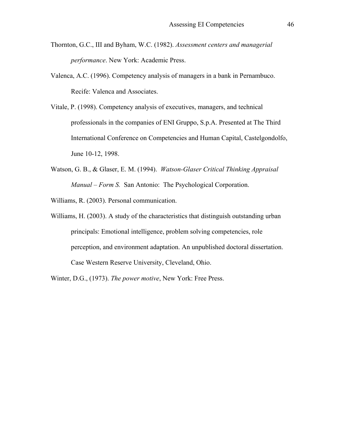- Thornton, G.C., III and Byham, W.C. (1982). *Assessment centers and managerial performance*. New York: Academic Press.
- Valenca, A.C. (1996). Competency analysis of managers in a bank in Pernambuco. Recife: Valenca and Associates.
- Vitale, P. (1998). Competency analysis of executives, managers, and technical professionals in the companies of ENI Gruppo, S.p.A. Presented at The Third International Conference on Competencies and Human Capital, Castelgondolfo, June 10-12, 1998.
- Watson, G. B., & Glaser, E. M. (1994). *Watson-Glaser Critical Thinking Appraisal Manual – Form S.* San Antonio: The Psychological Corporation.

Williams, R. (2003). Personal communication.

Williams, H. (2003). A study of the characteristics that distinguish outstanding urban principals: Emotional intelligence, problem solving competencies, role perception, and environment adaptation. An unpublished doctoral dissertation. Case Western Reserve University, Cleveland, Ohio.

Winter, D.G., (1973). *The power motive*, New York: Free Press.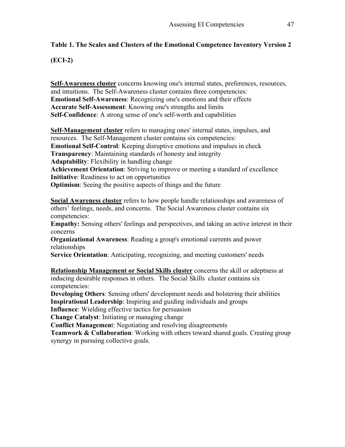## **Table 1. The Scales and Clusters of the Emotional Competence Inventory Version 2**

## **(ECI-2)**

**Self-Awareness cluster** concerns knowing one's internal states, preferences, resources, and intuitions. The Self-Awareness cluster contains three competencies: **Emotional Self-Awareness**: Recognizing one's emotions and their effects **Accurate Self-Assessment**: Knowing one's strengths and limits **Self-Confidence**: A strong sense of one's self-worth and capabilities

**Self-Management cluster** refers to managing ones' internal states, impulses, and resources. The Self-Management cluster contains six competencies: **Emotional Self-Control**: Keeping disruptive emotions and impulses in check **Transparency**: Maintaining standards of honesty and integrity **Adaptability**: Flexibility in handling change **Achievement Orientation**: Striving to improve or meeting a standard of excellence **Initiative**: Readiness to act on opportunities **Optimism**: Seeing the positive aspects of things and the future

**Social Awareness cluster** refers to how people handle relationships and awareness of others' feelings, needs, and concerns. The Social Awareness cluster contains six competencies:

**Empathy:** Sensing others' feelings and perspectives, and taking an active interest in their concerns

**Organizational Awareness**: Reading a group's emotional currents and power relationships

**Service Orientation**: Anticipating, recognizing, and meeting customers' needs

**Relationship Management or Social Skills cluster** concerns the skill or adeptness at inducing desirable responses in others. The Social Skills cluster contains six competencies:

**Developing Others**: Sensing others' development needs and bolstering their abilities **Inspirational Leadership**: Inspiring and guiding individuals and groups

**Influence**: Wielding effective tactics for persuasion

**Change Catalyst**: Initiating or managing change

**Conflict Managemen**t: Negotiating and resolving disagreements

**Teamwork & Collaboration**: Working with others toward shared goals. Creating group synergy in pursuing collective goals.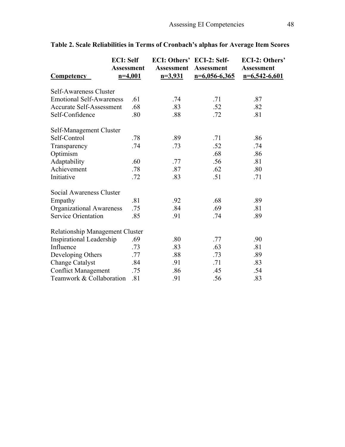|                                 | <b>ECI: Self</b>  | ECI: Others' ECI-2: Self- |                   | ECI-2: Others'    |
|---------------------------------|-------------------|---------------------------|-------------------|-------------------|
|                                 | <b>Assessment</b> | <b>Assessment</b>         | <b>Assessment</b> | <b>Assessment</b> |
| Competency                      | $n=4,001$         | $n=3,931$                 | $n=6,056-6,365$   | $n=6,542-6,601$   |
| Self-Awareness Cluster          |                   |                           |                   |                   |
| <b>Emotional Self-Awareness</b> | .61               | .74                       | .71               | .87               |
| Accurate Self-Assessment        | .68               | .83                       | .52               | .82               |
| Self-Confidence                 | .80               | .88                       | .72               | .81               |
| Self-Management Cluster         |                   |                           |                   |                   |
| Self-Control                    | .78               | .89                       | .71               | .86               |
| Transparency                    | .74               | .73                       | .52               | .74               |
| Optimism                        |                   |                           | .68               | .86               |
| Adaptability                    | .60               | .77                       | .56               | .81               |
| Achievement                     | .78               | .87                       | .62               | .80               |
| Initiative                      | .72               | .83                       | .51               | .71               |
| Social Awareness Cluster        |                   |                           |                   |                   |
| Empathy                         | .81               | .92                       | .68               | .89               |
| <b>Organizational Awareness</b> | .75               | .84                       | .69               | .81               |
| <b>Service Orientation</b>      | .85               | .91                       | .74               | .89               |
| Relationship Management Cluster |                   |                           |                   |                   |
| <b>Inspirational Leadership</b> | .69               | .80                       | .77               | .90               |
| Influence                       | .73               | .83                       | .63               | .81               |
| Developing Others               | .77               | .88                       | .73               | .89               |
| <b>Change Catalyst</b>          | .84               | .91                       | .71               | .83               |
| <b>Conflict Management</b>      | .75               | .86                       | .45               | .54               |
| Teamwork & Collaboration        | .81               | .91                       | .56               | .83               |

# **Table 2. Scale Reliabilities in Terms of Cronbach's alphas for Average Item Scores**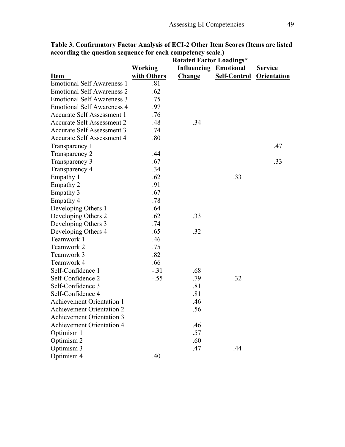|                                   | <b>Rotated Factor Loadings*</b> |                              |                     |                    |  |  |
|-----------------------------------|---------------------------------|------------------------------|---------------------|--------------------|--|--|
|                                   | Working                         | <b>Influencing Emotional</b> |                     | <b>Service</b>     |  |  |
| <b>Item</b>                       | with Others                     | <b>Change</b>                | <b>Self-Control</b> | <b>Orientation</b> |  |  |
| <b>Emotional Self Awareness 1</b> | .81                             |                              |                     |                    |  |  |
| <b>Emotional Self Awareness 2</b> | .62                             |                              |                     |                    |  |  |
| <b>Emotional Self Awareness 3</b> | .75                             |                              |                     |                    |  |  |
| <b>Emotional Self Awareness 4</b> | .97                             |                              |                     |                    |  |  |
| <b>Accurate Self Assessment 1</b> | .76                             |                              |                     |                    |  |  |
| <b>Accurate Self Assessment 2</b> | .48                             | .34                          |                     |                    |  |  |
| <b>Accurate Self Assessment 3</b> | .74                             |                              |                     |                    |  |  |
| <b>Accurate Self Assessment 4</b> | .80                             |                              |                     |                    |  |  |
| Transparency 1                    |                                 |                              |                     | .47                |  |  |
| Transparency 2                    | .44                             |                              |                     |                    |  |  |
| Transparency 3                    | .67                             |                              |                     | .33                |  |  |
| Transparency 4                    | .34                             |                              |                     |                    |  |  |
| Empathy 1                         | .62                             |                              | .33                 |                    |  |  |
| Empathy 2                         | .91                             |                              |                     |                    |  |  |
| Empathy 3                         | .67                             |                              |                     |                    |  |  |
| Empathy 4                         | .78                             |                              |                     |                    |  |  |
| Developing Others 1               | .64                             |                              |                     |                    |  |  |
| Developing Others 2               | .62                             | .33                          |                     |                    |  |  |
| Developing Others 3               | .74                             |                              |                     |                    |  |  |
| Developing Others 4               | .65                             | .32                          |                     |                    |  |  |
| Teamwork 1                        | .46                             |                              |                     |                    |  |  |
| Teamwork 2                        | .75                             |                              |                     |                    |  |  |
| Teamwork 3                        | .82                             |                              |                     |                    |  |  |
| Teamwork 4                        | .66                             |                              |                     |                    |  |  |
| Self-Confidence 1                 | $-.31$                          | .68                          |                     |                    |  |  |
| Self-Confidence 2                 | $-.55$                          | .79                          | .32                 |                    |  |  |
| Self-Confidence 3                 |                                 | .81                          |                     |                    |  |  |
| Self-Confidence 4                 |                                 | .81                          |                     |                    |  |  |
| <b>Achievement Orientation 1</b>  |                                 | .46                          |                     |                    |  |  |
| <b>Achievement Orientation 2</b>  |                                 | .56                          |                     |                    |  |  |
| <b>Achievement Orientation 3</b>  |                                 |                              |                     |                    |  |  |
| <b>Achievement Orientation 4</b>  |                                 | .46                          |                     |                    |  |  |
| Optimism 1                        |                                 | .57                          |                     |                    |  |  |
| Optimism 2                        |                                 | .60                          |                     |                    |  |  |
| Optimism 3                        |                                 | .47                          | .44                 |                    |  |  |
| Optimism 4                        | .40                             |                              |                     |                    |  |  |

**Table 3. Confirmatory Factor Analysis of ECI-2 Other Item Scores (Items are listed according the question sequence for each competency scale.)**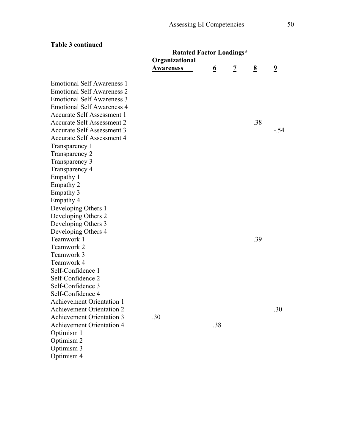## **Table 3 continued**

|                                                                                                                                                                                                                                                                                                                                                                              | <b>Rotated Factor Loadings*</b> |                 |                |                 |                         |
|------------------------------------------------------------------------------------------------------------------------------------------------------------------------------------------------------------------------------------------------------------------------------------------------------------------------------------------------------------------------------|---------------------------------|-----------------|----------------|-----------------|-------------------------|
|                                                                                                                                                                                                                                                                                                                                                                              | Organizational                  |                 |                |                 |                         |
|                                                                                                                                                                                                                                                                                                                                                                              | <b>Awareness</b>                | $\underline{6}$ | $\overline{1}$ | $\underline{8}$ | $\overline{\mathbf{2}}$ |
| <b>Emotional Self Awareness 1</b><br><b>Emotional Self Awareness 2</b><br><b>Emotional Self Awareness 3</b><br><b>Emotional Self Awareness 4</b><br><b>Accurate Self Assessment 1</b><br><b>Accurate Self Assessment 2</b><br><b>Accurate Self Assessment 3</b><br><b>Accurate Self Assessment 4</b><br>Transparency 1<br>Transparency 2<br>Transparency 3<br>Transparency 4 |                                 |                 |                | .38             | $-54$                   |
| Empathy 1<br>Empathy 2<br>Empathy 3<br>Empathy 4<br>Developing Others 1<br>Developing Others 2<br>Developing Others 3<br>Developing Others 4<br>Teamwork 1<br>Teamwork 2<br>Teamwork 3<br>Teamwork 4                                                                                                                                                                         |                                 |                 |                | .39             |                         |
| Self-Confidence 1<br>Self-Confidence 2<br>Self-Confidence 3<br>Self-Confidence 4<br><b>Achievement Orientation 1</b><br><b>Achievement Orientation 2</b><br><b>Achievement Orientation 3</b><br><b>Achievement Orientation 4</b><br>Optimism 1<br>Optimism 2<br>Optimism 3<br>Optimism 4                                                                                     | .30                             | .38             |                |                 | .30                     |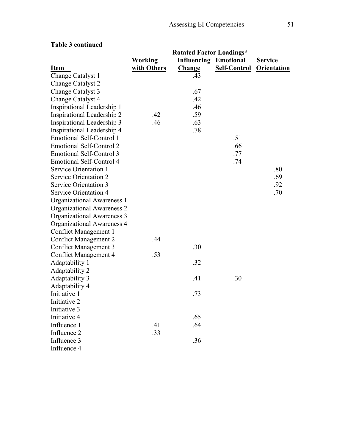|  | <b>Table 3 continued</b> |
|--|--------------------------|
|  |                          |

|                                   |                | <b>Rotated Factor Loadings*</b> |                     |                    |
|-----------------------------------|----------------|---------------------------------|---------------------|--------------------|
|                                   | <b>Working</b> | <b>Influencing Emotional</b>    |                     | <b>Service</b>     |
| <u>Item</u>                       | with Others    | <b>Change</b>                   | <b>Self-Control</b> | <b>Orientation</b> |
| Change Catalyst 1                 |                | .43                             |                     |                    |
| Change Catalyst 2                 |                |                                 |                     |                    |
| Change Catalyst 3                 |                | .67                             |                     |                    |
| Change Catalyst 4                 |                | .42                             |                     |                    |
| Inspirational Leadership 1        |                | .46                             |                     |                    |
| Inspirational Leadership 2        | .42            | .59                             |                     |                    |
| Inspirational Leadership 3        | .46            | .63                             |                     |                    |
| Inspirational Leadership 4        |                | .78                             |                     |                    |
| <b>Emotional Self-Control 1</b>   |                |                                 | .51                 |                    |
| <b>Emotional Self-Control 2</b>   |                |                                 | .66                 |                    |
| <b>Emotional Self-Control 3</b>   |                |                                 | .77                 |                    |
| <b>Emotional Self-Control 4</b>   |                |                                 | .74                 |                    |
| <b>Service Orientation 1</b>      |                |                                 |                     | .80                |
| <b>Service Orientation 2</b>      |                |                                 |                     | .69                |
| <b>Service Orientation 3</b>      |                |                                 |                     | .92                |
| <b>Service Orientation 4</b>      |                |                                 |                     | .70                |
| Organizational Awareness 1        |                |                                 |                     |                    |
| Organizational Awareness 2        |                |                                 |                     |                    |
| <b>Organizational Awareness 3</b> |                |                                 |                     |                    |
| <b>Organizational Awareness 4</b> |                |                                 |                     |                    |
| <b>Conflict Management 1</b>      |                |                                 |                     |                    |
| Conflict Management 2             | .44            |                                 |                     |                    |
| Conflict Management 3             |                | .30                             |                     |                    |
| Conflict Management 4             | .53            |                                 |                     |                    |
| Adaptability 1                    |                | .32                             |                     |                    |
| Adaptability 2                    |                |                                 |                     |                    |
| Adaptability 3                    |                | .41                             | .30                 |                    |
| Adaptability 4                    |                |                                 |                     |                    |
| Initiative 1                      |                | .73                             |                     |                    |
| Initiative 2                      |                |                                 |                     |                    |
| Initiative 3                      |                |                                 |                     |                    |
| Initiative 4                      |                | .65                             |                     |                    |
| Influence 1                       | .41            | .64                             |                     |                    |
| Influence 2                       | .33            |                                 |                     |                    |
| Influence 3                       |                | .36                             |                     |                    |
| Influence 4                       |                |                                 |                     |                    |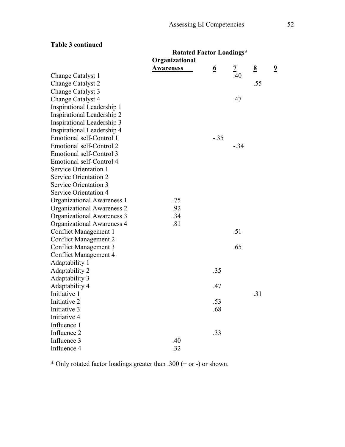## **Table 3 continued**

|                                                              | <b>Rotated Factor Loadings*</b> |                 |                         |                 |                         |  |
|--------------------------------------------------------------|---------------------------------|-----------------|-------------------------|-----------------|-------------------------|--|
|                                                              | Organizational                  |                 |                         |                 |                         |  |
|                                                              | <u>Awareness</u>                | $\underline{6}$ | $\overline{\mathbf{I}}$ | $\underline{8}$ | $\overline{\mathbf{2}}$ |  |
| Change Catalyst 1                                            |                                 |                 | .40                     |                 |                         |  |
| Change Catalyst 2                                            |                                 |                 |                         | .55             |                         |  |
| Change Catalyst 3                                            |                                 |                 |                         |                 |                         |  |
| Change Catalyst 4                                            |                                 |                 | .47                     |                 |                         |  |
| Inspirational Leadership 1                                   |                                 |                 |                         |                 |                         |  |
| Inspirational Leadership 2                                   |                                 |                 |                         |                 |                         |  |
| Inspirational Leadership 3                                   |                                 |                 |                         |                 |                         |  |
| Inspirational Leadership 4                                   |                                 |                 |                         |                 |                         |  |
| Emotional self-Control 1                                     |                                 | $-.35$          |                         |                 |                         |  |
| Emotional self-Control 2                                     |                                 |                 | $-.34$                  |                 |                         |  |
| Emotional self-Control 3                                     |                                 |                 |                         |                 |                         |  |
| Emotional self-Control 4                                     |                                 |                 |                         |                 |                         |  |
| Service Orientation 1                                        |                                 |                 |                         |                 |                         |  |
| Service Orientation 2                                        |                                 |                 |                         |                 |                         |  |
| Service Orientation 3                                        |                                 |                 |                         |                 |                         |  |
| Service Orientation 4                                        |                                 |                 |                         |                 |                         |  |
| Organizational Awareness 1                                   | .75                             |                 |                         |                 |                         |  |
| Organizational Awareness 2                                   | .92                             |                 |                         |                 |                         |  |
| Organizational Awareness 3                                   | .34<br>.81                      |                 |                         |                 |                         |  |
| Organizational Awareness 4                                   |                                 |                 | .51                     |                 |                         |  |
| <b>Conflict Management 1</b><br><b>Conflict Management 2</b> |                                 |                 |                         |                 |                         |  |
| <b>Conflict Management 3</b>                                 |                                 |                 | .65                     |                 |                         |  |
| <b>Conflict Management 4</b>                                 |                                 |                 |                         |                 |                         |  |
| Adaptability 1                                               |                                 |                 |                         |                 |                         |  |
| Adaptability 2                                               |                                 | .35             |                         |                 |                         |  |
| Adaptability 3                                               |                                 |                 |                         |                 |                         |  |
| Adaptability 4                                               |                                 | .47             |                         |                 |                         |  |
| Initiative 1                                                 |                                 |                 |                         | .31             |                         |  |
| Initiative 2                                                 |                                 | .53             |                         |                 |                         |  |
| Initiative 3                                                 |                                 | .68             |                         |                 |                         |  |
| Initiative 4                                                 |                                 |                 |                         |                 |                         |  |
| Influence 1                                                  |                                 |                 |                         |                 |                         |  |
| Influence 2                                                  |                                 | .33             |                         |                 |                         |  |
| Influence 3                                                  | .40                             |                 |                         |                 |                         |  |
| Influence 4                                                  | .32                             |                 |                         |                 |                         |  |
|                                                              |                                 |                 |                         |                 |                         |  |

\* Only rotated factor loadings greater than .300 (+ or -) or shown.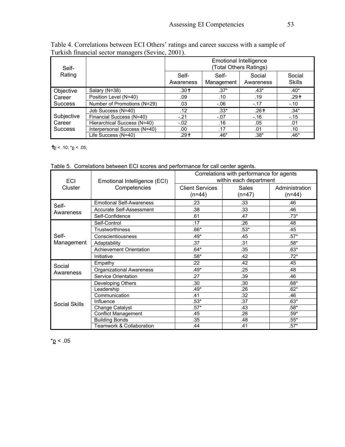| Self-          |                              | <b>Emotional Intelligence</b><br>(Total Others Ratings) |                     |                     |                         |
|----------------|------------------------------|---------------------------------------------------------|---------------------|---------------------|-------------------------|
| Rating         |                              | Self-<br>Awareness                                      | Self-<br>Management | Social<br>Awareness | Social<br><b>Skills</b> |
| Objective      | Salary (N=38)                | .30†                                                    | $.37*$              | $.43*$              | $.40*$                  |
| Career         | Position Level (N=40)        | .09                                                     | .10                 | .19                 | $.29+$                  |
| <b>Success</b> | Number of Promotions (N=29)  | .03                                                     | $-0.06$             | $-.17$              | $-.10$                  |
|                | Job Success (N=40)           | .12                                                     | $.33*$              | $.26+$              | $.34*$                  |
| Subjective     | Financial Success (N=40)     | $-.21$                                                  | $-.07$              | $-.16$              | $-.15$                  |
| Career         | Hierarchical Success (N=40)  | $-.02$                                                  | .16                 | .05                 | .01                     |
| <b>Success</b> | Interpersonal Success (N=40) | .00                                                     | .17                 | .01                 | .10                     |
|                | Life Success (N=40)          | $.29+$                                                  | $.46*$              | $.38*$              | $.46*$                  |

Table 4. Correlations between ECI Others' ratings and career success with a sample of Turkish financial sector managers (Sevinc, 2001).

 $†p$  < .10;  $*p$  < .05;

Table 5. Correlations between ECI scores and performance for call center agents.

| ECI                  | Emotional Intelligence (ECI)        | Correlations with performance for agents<br>within each department |                   |                            |  |
|----------------------|-------------------------------------|--------------------------------------------------------------------|-------------------|----------------------------|--|
| Cluster              | Competencies                        | <b>Client Services</b><br>$(n=44)$                                 | Sales<br>$(n=47)$ | Administration<br>$(n=44)$ |  |
| Self-                | <b>Emotional Self-Awareness</b>     | .23                                                                | .33               | .46                        |  |
| Awareness            | Accurate Self-Assessment            | .38                                                                | .33               | .46                        |  |
|                      | Self-Confidence                     | .61                                                                | .47               | $.73*$                     |  |
|                      | Self-Control                        | .17                                                                | .26               | .48                        |  |
|                      | Trustworthiness                     | $.66*$                                                             | $.53*$            | .45                        |  |
| Self-                | Conscientiousness                   | $.49*$                                                             | .45               | $.57*$                     |  |
| Management           | Adaptability                        | .37                                                                | .31               | .58*                       |  |
|                      | <b>Achievement Orientation</b>      | $.64*$                                                             | .35               | $.63*$                     |  |
|                      | Initiative                          | $.58*$                                                             | .42               | $.72*$                     |  |
| Social               | Empathy                             | .22                                                                | .42               | .45                        |  |
| Awareness            | Organizational Awareness            | $.49*$                                                             | .25               | .48                        |  |
|                      | Service Orientation                 | .27                                                                | .39               | .46                        |  |
|                      | Developing Others                   | .30                                                                | .30               | $.68*$                     |  |
|                      | Leadership                          | $.49*$                                                             | .26               | $.62*$                     |  |
|                      | Communication                       | .41                                                                | .32               | .46                        |  |
| <b>Social Skills</b> | Influence                           | $.53*$                                                             | .37               | $.63*$                     |  |
|                      | Change Catalyst                     | $.57*$                                                             | .43               | $.58*$                     |  |
|                      | <b>Conflict Management</b>          | .45                                                                | .26               | $.59*$                     |  |
|                      | <b>Building Bonds</b>               | .35                                                                | .48               | $.55*$                     |  |
|                      | <b>Teamwork &amp; Collaboration</b> | .44                                                                | .41               | $.57*$                     |  |

 $*_{\underline{p}}$  < .05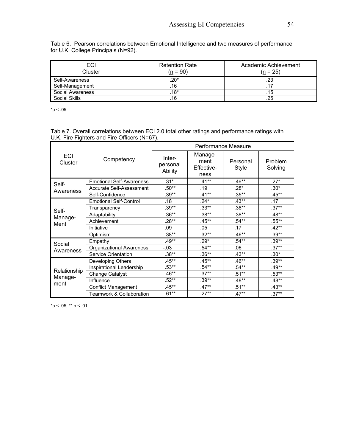Table 6. Pearson correlations between Emotional Intelligence and two measures of performance for U.K. College Principals (N=92).

| ECI<br>Cluster   | <b>Retention Rate</b><br>$(n = 90)$ | Academic Achievement<br>$(n = 25)$ |
|------------------|-------------------------------------|------------------------------------|
| Self-Awareness   | .20*                                | .23                                |
| Self-Management  | .16                                 |                                    |
| Social Awareness | $.18*$                              | .15                                |
| Social Skills    | .16                                 | 25                                 |

 $*_{\underline{p}}$  < .05

Table 7. Overall correlations between ECI 2.0 total other ratings and performance ratings with U.K. Fire Fighters and Fire Officers (N=67).

|                       |                                 | Performance Measure           |                                       |                          |                    |
|-----------------------|---------------------------------|-------------------------------|---------------------------------------|--------------------------|--------------------|
| <b>ECI</b><br>Cluster | Competency                      | Inter-<br>personal<br>Ability | Manage-<br>ment<br>Effective-<br>ness | Personal<br><b>Style</b> | Problem<br>Solving |
| Self-                 | <b>Emotional Self-Awareness</b> | $.31*$                        | $.41***$                              | $.46**$                  | $.27*$             |
| Awareness             | Accurate Self-Assessment        | $.50**$                       | .19                                   | $.28*$                   | $.30*$             |
|                       | Self-Confidence                 | $.39**$                       | $.41***$                              | $.35***$                 | $.45**$            |
|                       | <b>Emotional Self-Control</b>   | .18                           | $.24*$                                | $.43**$                  | .17                |
| Self-                 | Transparency                    | $.39**$                       | $.33**$                               | $.38**$                  | $.37**$            |
| Manage-               | Adaptability                    | $.36**$                       | $.38**$                               | $.38**$                  | $.48**$            |
| Ment                  | Achievement                     | $.28**$                       | $.45**$                               | .54**                    | $.55***$           |
|                       | Initiative                      | .09                           | .05                                   | .17                      | $.42**$            |
|                       | Optimism                        | $.38**$                       | $.32**$                               | $.46**$                  | $.39***$           |
| Social                | Empathy                         | $.49**$                       | $.29*$                                | $.54**$                  | $.39**$            |
| Awareness             | Organizational Awareness        | $-.03$                        | $.54**$                               | .06                      | $.37***$           |
|                       | Service Orientation             | $.38**$                       | $.36**$                               | $.43**$                  | $.30*$             |
|                       | Developing Others               | $.45***$                      | $.45***$                              | $.46**$                  | $.39**$            |
| Relationship          | Inspirational Leadership        | $.53**$                       | $.54**$                               | .54**                    | $.49**$            |
| Manage-               | Change Catalyst                 | $.46**$                       | $.37**$                               | $.51***$                 | $.53**$            |
| ment                  | Influence                       | $.52**$                       | $.39**$                               | $.48**$                  | $.48**$            |
|                       | <b>Conflict Management</b>      | $.45***$                      | $.47**$                               | $.51**$                  | $.43**$            |
|                       | Teamwork & Collaboration        | $.61***$                      | $.27**$                               | $.47**$                  | $.37**$            |

 $*p < .05; ** p < .01$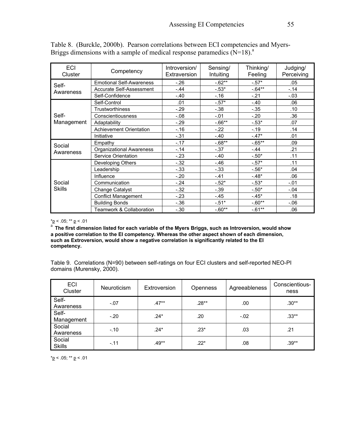| ECI<br>Cluster          | Competency                          | Introversion/<br>Extraversion | Sensing/<br>Intuiting | Thinking/<br>Feeling | Judging/<br>Perceiving |
|-------------------------|-------------------------------------|-------------------------------|-----------------------|----------------------|------------------------|
| Self-                   | <b>Emotional Self-Awareness</b>     | $-.26$                        | $-0.62**$             | $-.57*$              | .05                    |
| Awareness               | Accurate Self-Assessment            | $-.44$                        | $-.53*$               | $-0.64**$            | $-.14$                 |
|                         | Self-Confidence                     | $-.40$                        | $-.16$                | $-.21$               | $-.03$                 |
|                         | Self-Control                        | .01                           | $-.57*$               | $-.40$               | .06                    |
|                         | Trustworthiness                     | $-.29$                        | $-.38$                | $-.35$               | .10                    |
| Self-                   | Conscientiousness                   | $-0.08$                       | $-.01$                | $-20$                | .36                    |
| Management              | Adaptability                        | $-29$                         | $-0.66**$             | $-0.53*$             | .07                    |
|                         | <b>Achievement Orientation</b>      | $-.16$                        | $-.22$                | $-.19$               | .14                    |
|                         | Initiative                          | $-.31$                        | $-.40$                | $-.47*$              | .01                    |
| Social                  | Empathy                             | $-.17$                        | $-0.68***$            | $-0.65**$            | .09                    |
| Awareness               | <b>Organizational Awareness</b>     | $-.14$                        | $-.37$                | $-.44$               | .21                    |
|                         | Service Orientation                 | $-23$                         | $-.40$                | $-.50*$              | .11                    |
|                         | Developing Others                   | $-.32$                        | $-.46$                | $-.57*$              | .11                    |
|                         | Leadership                          | $-.33$                        | $-.33$                | $-.56*$              | .04                    |
|                         | Influence                           | $-.20$                        | $-.41$                | $-.48*$              | .06                    |
| Social<br><b>Skills</b> | Communication                       | $-24$                         | $-.52*$               | $-.53*$              | $-.01$                 |
|                         | Change Catalyst                     | $-.32$                        | $-.39$                | $-.50*$              | $-.04$                 |
|                         | <b>Conflict Management</b>          | $-.23$                        | $-.45$                | $-.45*$              | .18                    |
|                         | <b>Building Bonds</b>               | $-36$                         | $-.51*$               | $-0.60**$            | $-0.06$                |
|                         | <b>Teamwork &amp; Collaboration</b> | $-.30$                        | $-0.60**$             | $-0.61**$            | .06                    |

Table 8. (Burckle, 2000b). Pearson correlations between ECI competencies and Myers-Briggs dimensions with a sample of medical response paramedics  $(N=18)$ .<sup>a</sup>

\*p < .05; \*\* p < .01 <sup>a</sup> **The first dimension listed for each variable of the Myers Briggs, such as Introversion, would show a positive correlation to the EI competency. Whereas the other aspect shown of each dimension, such as Extroversion, would show a negative correlation is significantly related to the EI competency.** 

Table 9. Correlations (N=90) between self-ratings on four ECI clusters and self-reported NEO-PI domains (Murensky, 2000).

| ECI<br>Cluster          | Neuroticism | Extroversion | Openness | Agreeableness | Conscientious-<br>ness |
|-------------------------|-------------|--------------|----------|---------------|------------------------|
| Self-<br>Awareness      | $-.07$      | $.47**$      | $.28**$  | .00           | $.30**$                |
| Self-<br>Management     | $-.20$      | $.24*$       | .20      | $-.02$        | $.33**$                |
| Social<br>Awareness     | $-.10$      | $.24*$       | $.23*$   | .03           | .21                    |
| Social<br><b>Skills</b> | $-.11$      | .49**        | $.22*$   | .08           | $.39**$                |

 $*_{p}$  < .05; \*\*  $p$  < .01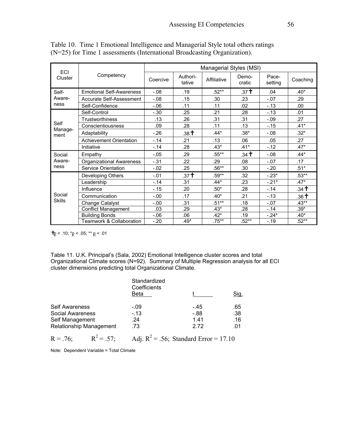|                          | Competency                          | Managerial Styles (MSI) |                    |             |                 |                  |          |
|--------------------------|-------------------------------------|-------------------------|--------------------|-------------|-----------------|------------------|----------|
| <b>ECI</b><br>Cluster    |                                     | Coercive                | Authori-<br>tative | Affiliative | Demo-<br>cratic | Pace-<br>setting | Coaching |
| Self-                    | <b>Emotional Self-Awareness</b>     | $-0.08$                 | .19                | $.52**$     | .37†            | .04              | $.40*$   |
| Aware-<br>ness           | Accurate Self-Assessment            | $-0.08$                 | .15                | .30         | .23             | $-.07$           | .29      |
|                          | Self-Confidence                     | $-0.06$                 | .11                | .11         | .02             | $-.13$           | .00      |
|                          | Self-Control                        | $-.30$                  | .25                | .21         | .28             | $-.13$           | .01      |
| Self<br>Manage-<br>ment  | Trustworthiness                     | .13                     | .26                | .31         | .31             | $-.09$           | .27      |
|                          | Conscientiousness                   | .09                     | .28                | .11         | .13             | $-.15$           | $.41*$   |
|                          | Adaptability                        | $-.26$                  | .38†               | $.44*$      | $.38*$          | $-0.08$          | $.32*$   |
|                          | <b>Achievement Orientation</b>      | $-.14$                  | .21                | .13         | .06             | .05              | .27      |
|                          | Initiative                          | $-.14$                  | .28                | $.43*$      | $.41*$          | $-.12$           | $.47*$   |
| Social<br>Aware-<br>ness | Empathy                             | $-.05$                  | .29                | .55**       | .34†            | $-.08$           | $.44*$   |
|                          | Organizational Awareness            | $-31$                   | .22                | .29         | .08             | $-.07$           | .17      |
|                          | Service Orientation                 | $-.02$                  | .25                | $.56**$     | .30             | $-.20$           | $.51*$   |
| Social<br><b>Skills</b>  | Developing Others                   | $-.01$                  | .37†               | $.59**$     | .32             | $-.23*$          | $.53**$  |
|                          | Leadership                          | $-.14$                  | .31                | $.44*$      | .23             | $-.21*$          | $.47*$   |
|                          | Influence                           | $-.15$                  | .20                | $.50*$      | .28             | $-.14$           | .34†     |
|                          | Communication                       | $-.00$                  | .17                | $.40*$      | .21             | $-13$            | .36†     |
|                          | Change Catalyst                     | $-0.00$                 | .31                | $.51**$     | .18             | $-.07$           | $.43**$  |
|                          | <b>Conflict Management</b>          | .03                     | .29                | $.43*$      | .28             | $-14$            | $.39*$   |
|                          | <b>Building Bonds</b>               | $-.06$                  | .06                | $.42*$      | .19             | $-.24*$          | $.40*$   |
|                          | <b>Teamwork &amp; Collaboration</b> | $-.20$                  | .49*               | $.75***$    | $.52**$         | $-.19$           | .52**    |

Table 10. Time 1 Emotional Intelligence and Managerial Style total others ratings (N=25) for Time 1 assessments (International Broadcasting Organization).

 $†p$  < .10;  $\n *p$  < .05;  $\n *p$  < .01

Table 11. U.K. Principal's (Sala, 2002) Emotional Intelligence cluster scores and total Organizational Climate scores (N=92). Summary of Multiple Regression analysis for all ECI cluster dimensions predicting total Organizational Climate.

|                         | Standardized<br>Coefficients |       |      |
|-------------------------|------------------------------|-------|------|
|                         | Beta                         |       | Sia. |
| <b>Self Awareness</b>   | $-.09$                       | - 45  | .65  |
| Social Awareness        | $-13$                        | $-88$ | .38  |
| Self Management         | .24                          | 1.41  | .16  |
| Relationship Management | .73                          | 2.72  | .01  |

 $R = .76$ ;  $R^2 = .57$ ; Adj.  $R^2 = .56$ ; Standard Error = 17.10

Note: Dependent Variable = Total Climate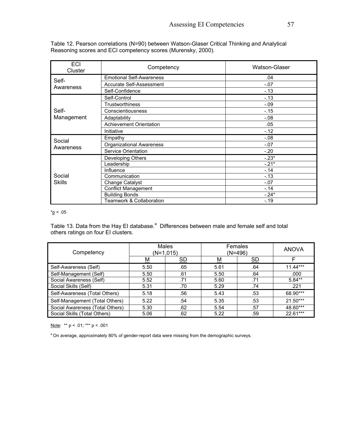| <b>ECI</b><br>Cluster | Competency                      | Watson-Glaser |  |  |
|-----------------------|---------------------------------|---------------|--|--|
| Self-                 | <b>Emotional Self-Awareness</b> | .04           |  |  |
| Awareness             | Accurate Self-Assessment        | $-.07$        |  |  |
|                       | Self-Confidence                 | $-.13$        |  |  |
|                       | Self-Control                    | $-13$         |  |  |
|                       | Trustworthiness                 | $-.09$        |  |  |
| Self-                 | Conscientiousness               | $-.15$        |  |  |
| Management            | Adaptability                    | $-0.08$       |  |  |
|                       | <b>Achievement Orientation</b>  | .05           |  |  |
|                       | Initiative                      | $-12$         |  |  |
| Social                | Empathy                         | $-.08$        |  |  |
| Awareness             | Organizational Awareness        | $-.07$        |  |  |
|                       | Service Orientation             | $-.20$        |  |  |
|                       | Developing Others               | $-.23*$       |  |  |
|                       | Leadership                      | $-.21*$       |  |  |
|                       | Influence                       | $-14$         |  |  |
| Social                | Communication                   | $-.13$        |  |  |
| <b>Skills</b>         | Change Catalyst                 | $-.07$        |  |  |
|                       | <b>Conflict Management</b>      | $-.14$        |  |  |
|                       | <b>Building Bonds</b>           | $-24*$        |  |  |
|                       | Teamwork & Collaboration        | $-19$         |  |  |

Table 12. Pearson correlations (N=90) between Watson-Glaser Critical Thinking and Analytical Reasoning scores and ECI competency scores (Murensky, 2000).

#### $*_{\underline{p}} < .05$

Table 13. Data from the Hay EI database.<sup>a</sup> Differences between male and female self and total others ratings on four EI clusters.

| Competency                      | Males<br>$(N=1,015)$ |           | Females<br>(N=496) |           | <b>ANOVA</b> |
|---------------------------------|----------------------|-----------|--------------------|-----------|--------------|
|                                 | <u>M</u>             | <u>SD</u> | <u>M</u>           | <u>SD</u> |              |
| Self-Awareness (Self)           | 5.50                 | .65       | 5.61               | .64       | $11.44***$   |
| Self-Management (Self)          | 5.50                 | .61       | 5.50               | .64       | .000         |
| Social Awareness (Self)         | 5.52                 | .71       | 5.60               | .71       | $5.84***$    |
| Social Skills (Self)            | 5.31                 | .70       | 5.29               | .74       | .221         |
| Self-Awareness (Total Others)   | 5.18                 | .56       | 5.43               | .53       | 68.90***     |
| Self-Management (Total Others)  | 5.22                 | .54       | 5.35               | .53       | 21.50***     |
| Social Awareness (Total Others) | 5.30                 | .62       | 5.54               | .57       | 48.60***     |
| Social Skills (Total Others)    | 5.06                 | .62       | 5.22               | .59       | 22.61***     |

Note: \*\* p < .01; \*\*\* p < .001

<sup>a</sup> On average, approximately 80% of gender-report data were missing from the demographic surveys.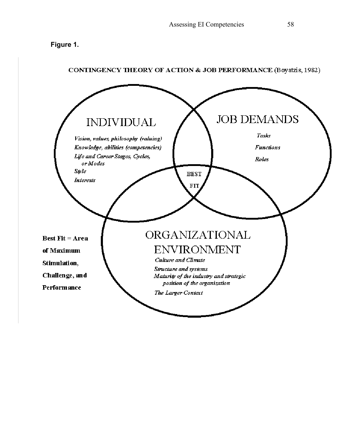## **Figure 1.**

## **CONTINGENCY THEORY OF ACTION & JOB PERFORMANCE (Boyatzis, 1982)**